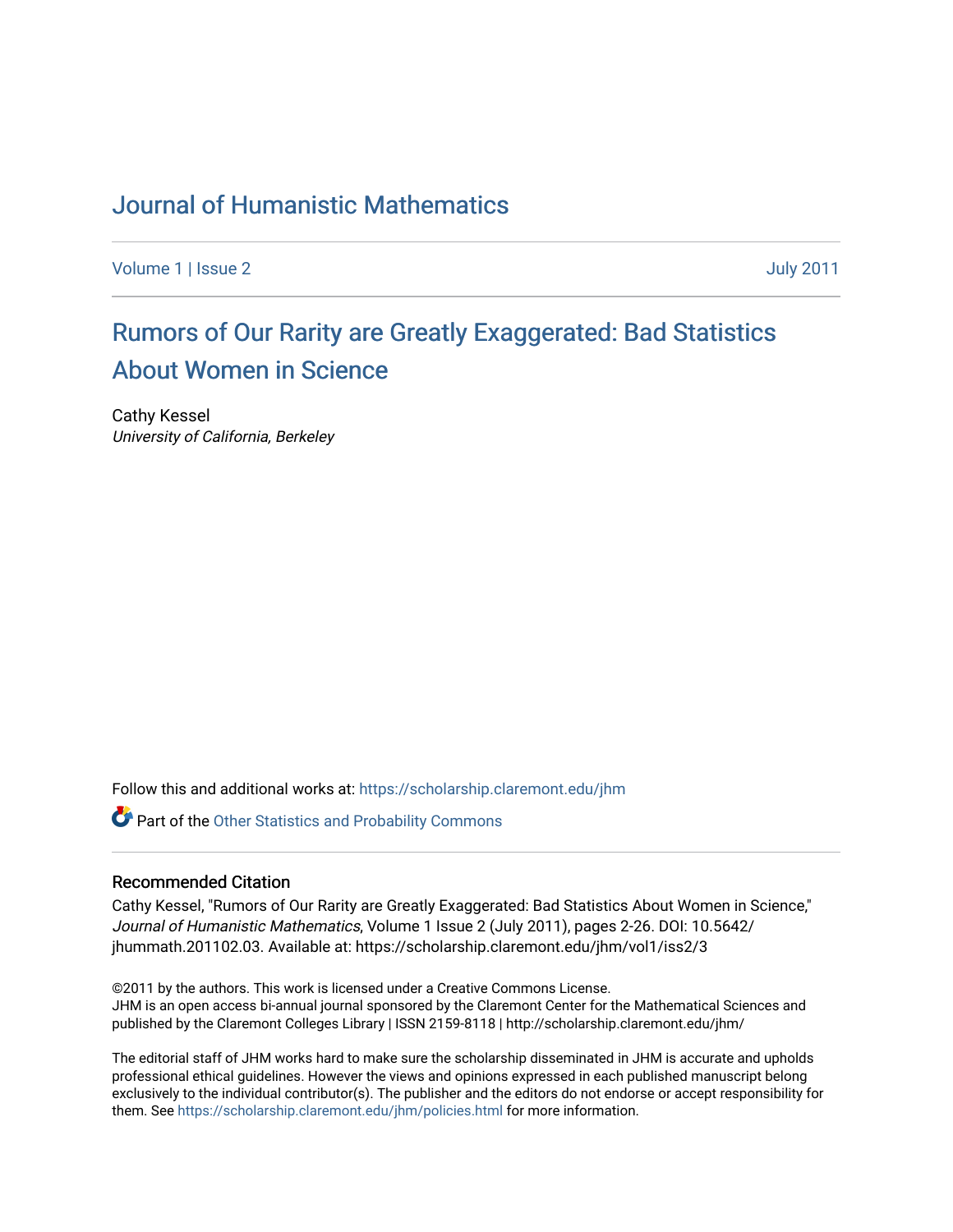### [Journal of Humanistic Mathematics](https://scholarship.claremont.edu/jhm)

[Volume 1](https://scholarship.claremont.edu/jhm/vol1) | [Issue 2](https://scholarship.claremont.edu/jhm/vol1/iss2) [July 2011](https://scholarship.claremont.edu/jhm/vol1/iss2) 

## [Rumors of Our Rarity are Greatly Exaggerated: Bad Statistics](https://scholarship.claremont.edu/jhm/vol1/iss2/3)  [About Women in Science](https://scholarship.claremont.edu/jhm/vol1/iss2/3)

Cathy Kessel University of California, Berkeley

Follow this and additional works at: [https://scholarship.claremont.edu/jhm](https://scholarship.claremont.edu/jhm?utm_source=scholarship.claremont.edu%2Fjhm%2Fvol1%2Fiss2%2F3&utm_medium=PDF&utm_campaign=PDFCoverPages)

**Part of the Other Statistics and Probability Commons** 

#### Recommended Citation

Cathy Kessel, "Rumors of Our Rarity are Greatly Exaggerated: Bad Statistics About Women in Science," Journal of Humanistic Mathematics, Volume 1 Issue 2 (July 2011), pages 2-26. DOI: 10.5642/ jhummath.201102.03. Available at: https://scholarship.claremont.edu/jhm/vol1/iss2/3

©2011 by the authors. This work is licensed under a Creative Commons License. JHM is an open access bi-annual journal sponsored by the Claremont Center for the Mathematical Sciences and published by the Claremont Colleges Library | ISSN 2159-8118 | http://scholarship.claremont.edu/jhm/

The editorial staff of JHM works hard to make sure the scholarship disseminated in JHM is accurate and upholds professional ethical guidelines. However the views and opinions expressed in each published manuscript belong exclusively to the individual contributor(s). The publisher and the editors do not endorse or accept responsibility for them. See<https://scholarship.claremont.edu/jhm/policies.html> for more information.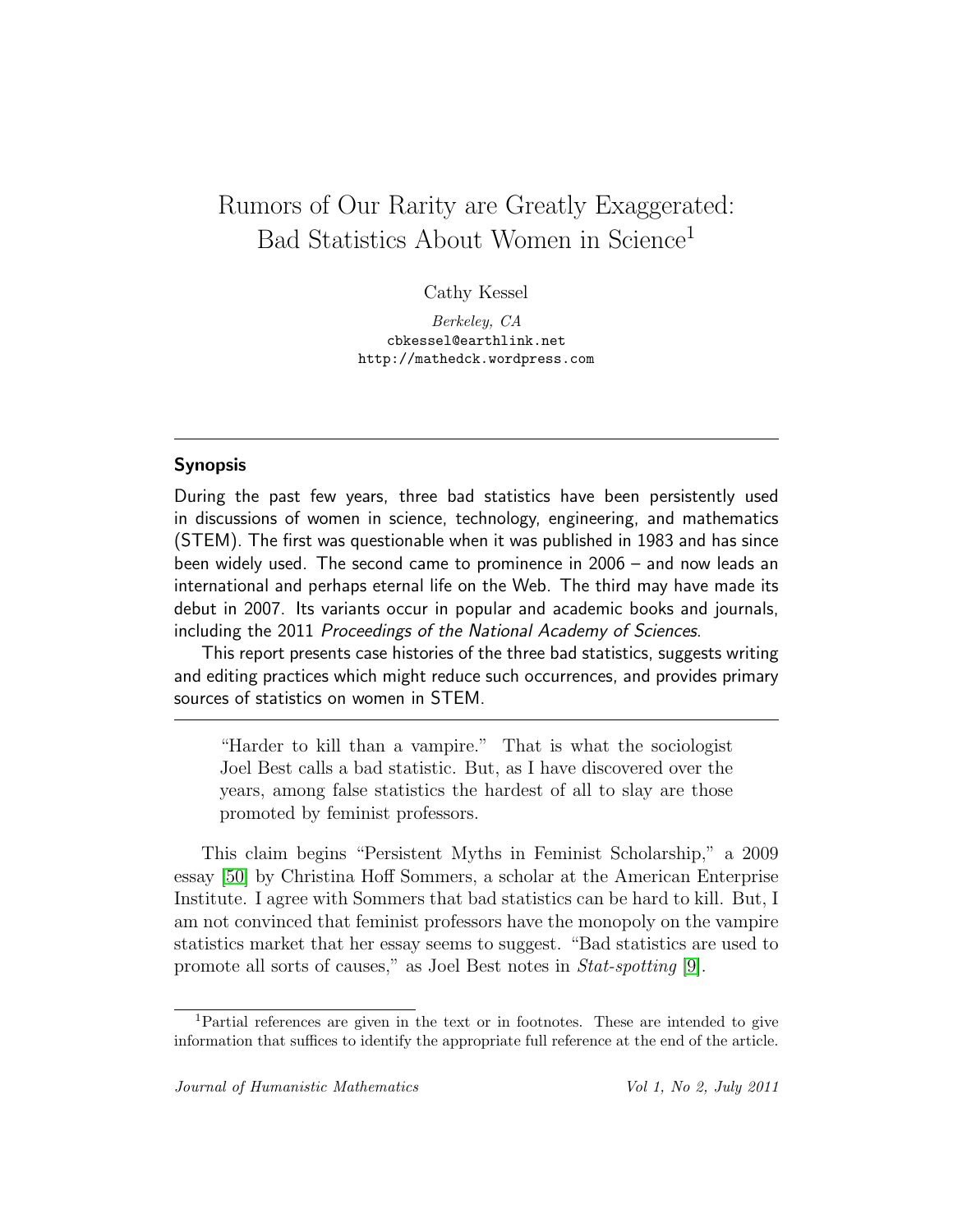### Rumors of Our Rarity are Greatly Exaggerated: Bad Statistics About Women in Science<sup>1</sup>

Cathy Kessel

Berkeley, CA cbkessel@earthlink.net http://mathedck.wordpress.com

#### Synopsis

During the past few years, three bad statistics have been persistently used in discussions of women in science, technology, engineering, and mathematics (STEM). The first was questionable when it was published in 1983 and has since been widely used. The second came to prominence in 2006 – and now leads an international and perhaps eternal life on the Web. The third may have made its debut in 2007. Its variants occur in popular and academic books and journals, including the 2011 Proceedings of the National Academy of Sciences.

This report presents case histories of the three bad statistics, suggests writing and editing practices which might reduce such occurrences, and provides primary sources of statistics on women in STEM.

"Harder to kill than a vampire." That is what the sociologist Joel Best calls a bad statistic. But, as I have discovered over the years, among false statistics the hardest of all to slay are those promoted by feminist professors.

This claim begins "Persistent Myths in Feminist Scholarship," a 2009 essay [\[50\]](#page-24-0) by Christina Hoff Sommers, a scholar at the American Enterprise Institute. I agree with Sommers that bad statistics can be hard to kill. But, I am not convinced that feminist professors have the monopoly on the vampire statistics market that her essay seems to suggest. "Bad statistics are used to promote all sorts of causes," as Joel Best notes in Stat-spotting [\[9\]](#page-20-0).

<sup>1</sup>Partial references are given in the text or in footnotes. These are intended to give information that suffices to identify the appropriate full reference at the end of the article.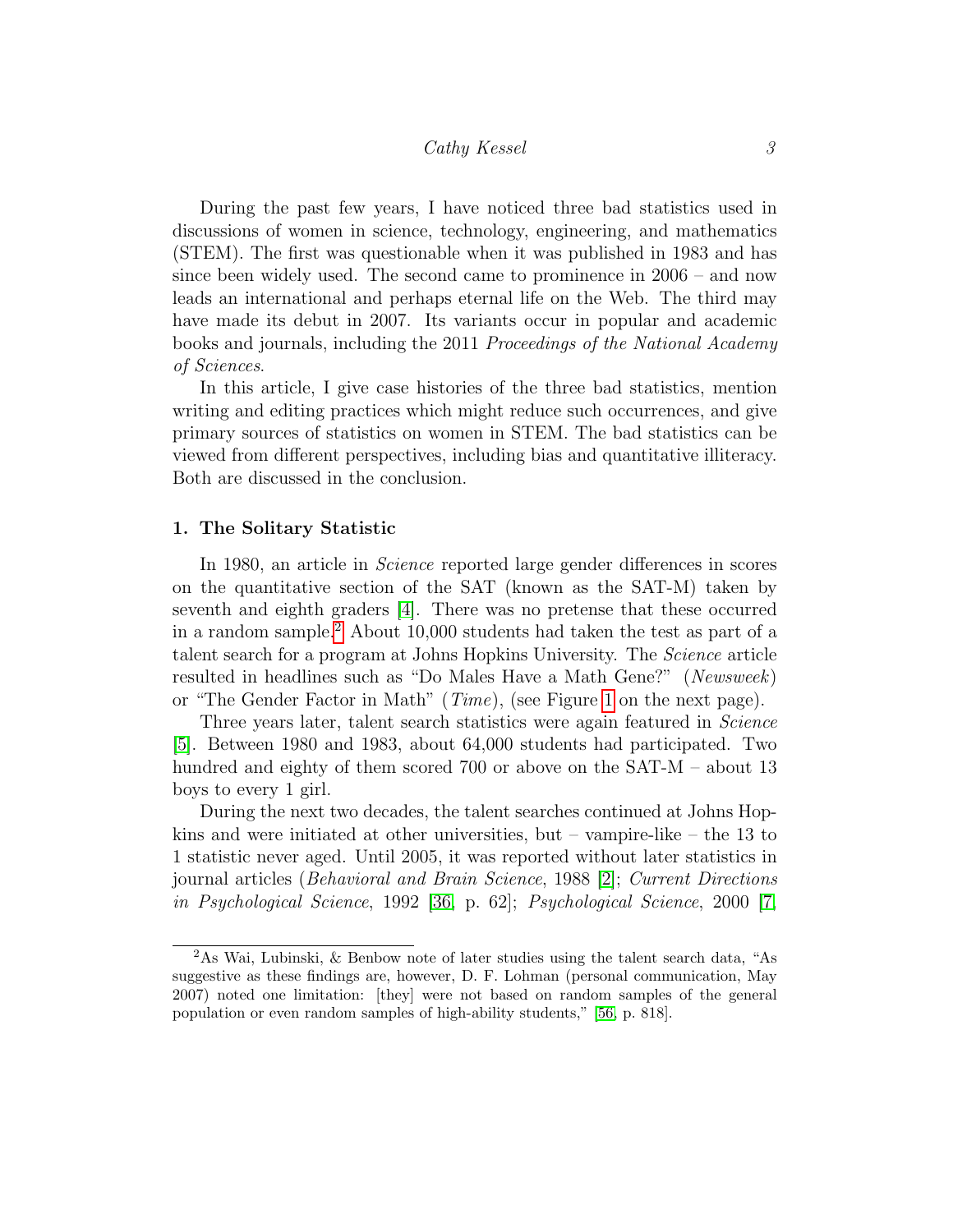During the past few years, I have noticed three bad statistics used in discussions of women in science, technology, engineering, and mathematics (STEM). The first was questionable when it was published in 1983 and has since been widely used. The second came to prominence in 2006 – and now leads an international and perhaps eternal life on the Web. The third may have made its debut in 2007. Its variants occur in popular and academic books and journals, including the 2011 Proceedings of the National Academy of Sciences.

In this article, I give case histories of the three bad statistics, mention writing and editing practices which might reduce such occurrences, and give primary sources of statistics on women in STEM. The bad statistics can be viewed from different perspectives, including bias and quantitative illiteracy. Both are discussed in the conclusion.

#### 1. The Solitary Statistic

In 1980, an article in *Science* reported large gender differences in scores on the quantitative section of the SAT (known as the SAT-M) taken by seventh and eighth graders [\[4\]](#page-20-1). There was no pretense that these occurred in a random sample.[2](#page-2-0) About 10,000 students had taken the test as part of a talent search for a program at Johns Hopkins University. The Science article resulted in headlines such as "Do Males Have a Math Gene?" (Newsweek) or "The Gender Factor in Math" (Time), (see Figure [1](#page-3-0) on the next page).

Three years later, talent search statistics were again featured in Science [\[5\]](#page-20-2). Between 1980 and 1983, about 64,000 students had participated. Two hundred and eighty of them scored 700 or above on the SAT-M – about 13 boys to every 1 girl.

During the next two decades, the talent searches continued at Johns Hopkins and were initiated at other universities, but  $-$  vampire-like  $-$  the 13 to 1 statistic never aged. Until 2005, it was reported without later statistics in journal articles (Behavioral and Brain Science, 1988 [\[2\]](#page-20-3); Current Directions in Psychological Science, 1992 [\[36,](#page-23-0) p. 62]; Psychological Science, 2000 [\[7,](#page-20-4)

<span id="page-2-0"></span><sup>2</sup>As Wai, Lubinski, & Benbow note of later studies using the talent search data, "As suggestive as these findings are, however, D. F. Lohman (personal communication, May 2007) noted one limitation: [they] were not based on random samples of the general population or even random samples of high-ability students," [\[56,](#page-25-0) p. 818].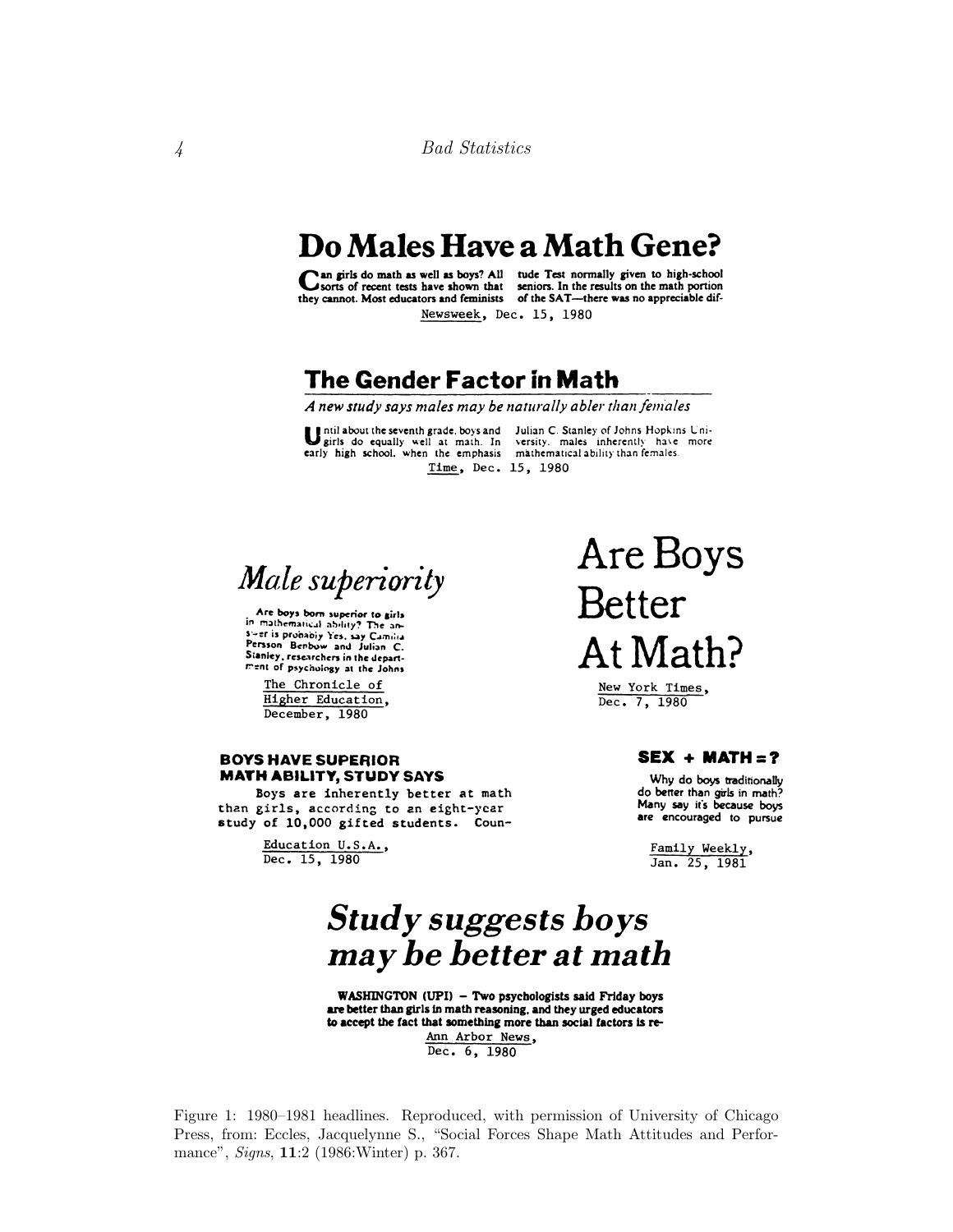## Do Males Have a Math Gene?

Can girls do main as well as boys? All

an girls do math as well as boys? All tude Test normally given to high-school seniors. In the results on the math portion they cannot. Most educators and feminists of the SAT-there was no appreciable dif-Newsweek, Dec. 15, 1980

### The Gender Factor in Math

A new study says males may be naturally abler than females

Time, Dec. 15, 1980

Until about the seventh grade, boys and Julian C. Stanley of Johns Hopkins Unigirls do equally well at math. In versity, males inherently have more early high school, when the emphasis mathematical ability than females.

Male superiority

Are boys born superior to girls in mathematical ability? The answer is probably Yes, say Camilia Stanley, researchers in the department of psychology at the Johns

The Chronicle of Higher Education, December, 1980

#### **BOYS HAVE SUPERIOR MATH ABILITY, STUDY SAYS**

Boys are inherently better at math than girls, according to an eight-year study of 10,000 gifted students. Coun-

> Education U.S.A., Dec. 15, 1980

Are Boys **Better** At Math?

> New York Times, Dec. 7, 1980

#### $SEX + MATH = ?$

Why do boys traditionally do better than girls in math? Many say it's because boys are encouraged to pursue

Family Weekly, Jan. 25, 1981

# **Study suggests boys** may be better at math

WASHINGTON (UPI) - Two psychologists said Friday boys are better than girls in math reasoning, and they urged educators to accept the fact that something more than social factors is re-Ann Arbor News,

Dec. 6, 1980

<span id="page-3-0"></span>Figure 1: 1980–1981 headlines. Reproduced, with permission of University of Chicago Press, from: Eccles, Jacquelynne S., "Social Forces Shape Math Attitudes and Performance", *Signs*, **11**:2 (1986: Winter) p. 367.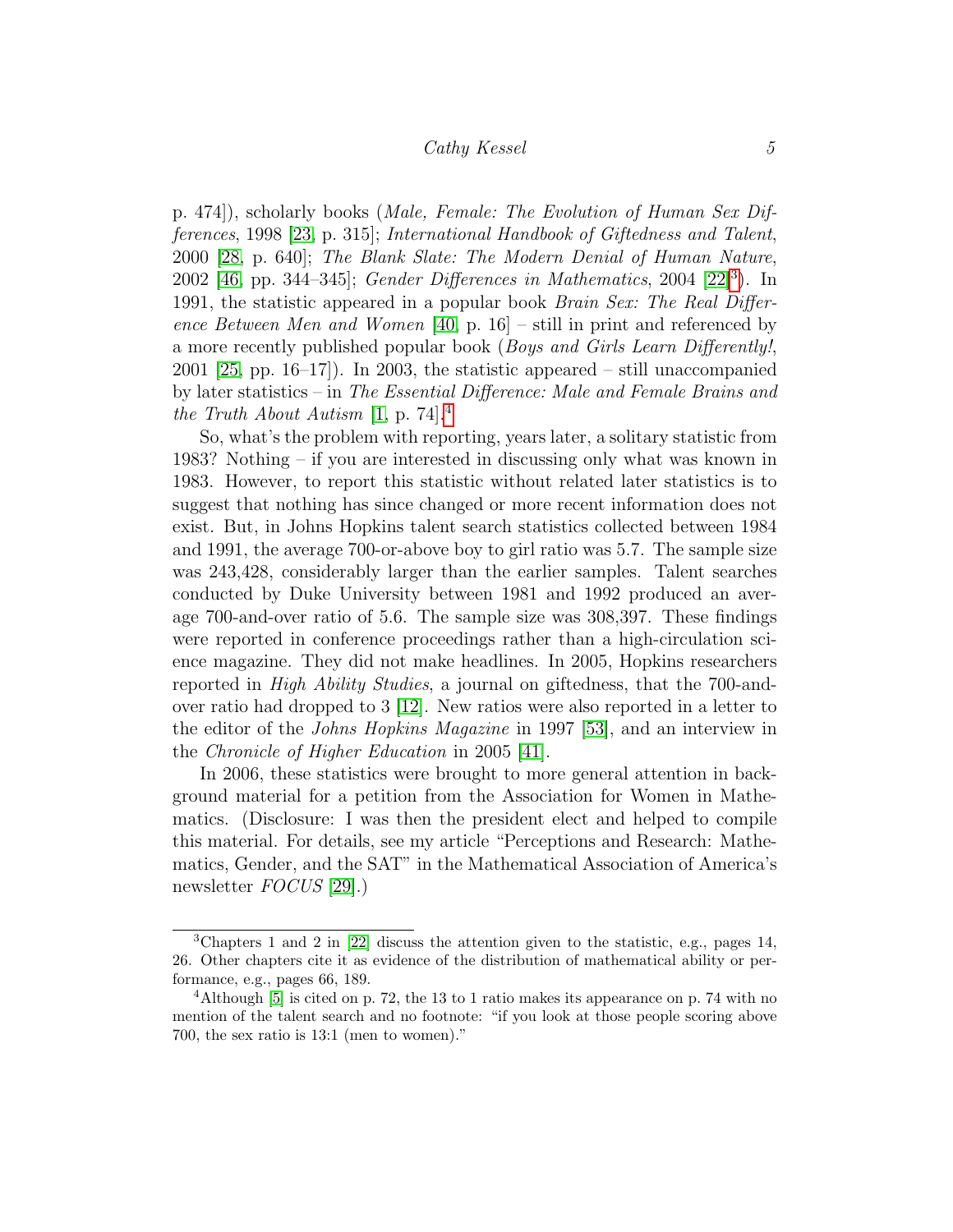p. 474]), scholarly books (Male, Female: The Evolution of Human Sex Differences, 1998 [\[23,](#page-22-0) p. 315]; International Handbook of Giftedness and Talent, 2000 [\[28,](#page-22-1) p. 640]; The Blank Slate: The Modern Denial of Human Nature, 2002 [\[46,](#page-24-1) pp. [3](#page-4-0)44–345]; *Gender Differences in Mathematics*, 2004 [\[22\]](#page-22-2)<sup>3</sup>). In 1991, the statistic appeared in a popular book Brain Sex: The Real Difference Between Men and Women [\[40,](#page-23-1) p. 16] – still in print and referenced by a more recently published popular book (Boys and Girls Learn Differently!, 2001 [\[25,](#page-22-3) pp. 16–17]). In 2003, the statistic appeared – still unaccompanied by later statistics – in The Essential Difference: Male and Female Brains and the Truth About Autism  $[1, p. 74]$  $[1, p. 74]$  $[1, p. 74]$  $[1, p. 74]$ <sup>4</sup>

So, what's the problem with reporting, years later, a solitary statistic from 1983? Nothing – if you are interested in discussing only what was known in 1983. However, to report this statistic without related later statistics is to suggest that nothing has since changed or more recent information does not exist. But, in Johns Hopkins talent search statistics collected between 1984 and 1991, the average 700-or-above boy to girl ratio was 5.7. The sample size was 243,428, considerably larger than the earlier samples. Talent searches conducted by Duke University between 1981 and 1992 produced an average 700-and-over ratio of 5.6. The sample size was 308,397. These findings were reported in conference proceedings rather than a high-circulation science magazine. They did not make headlines. In 2005, Hopkins researchers reported in High Ability Studies, a journal on giftedness, that the 700-andover ratio had dropped to 3 [\[12\]](#page-21-0). New ratios were also reported in a letter to the editor of the Johns Hopkins Magazine in 1997 [\[53\]](#page-24-2), and an interview in the Chronicle of Higher Education in 2005 [\[41\]](#page-23-2).

In 2006, these statistics were brought to more general attention in background material for a petition from the Association for Women in Mathematics. (Disclosure: I was then the president elect and helped to compile this material. For details, see my article "Perceptions and Research: Mathematics, Gender, and the SAT" in the Mathematical Association of America's newsletter *FOCUS* [\[29\]](#page-22-4).)

<span id="page-4-0"></span><sup>3</sup>Chapters 1 and 2 in [\[22\]](#page-22-2) discuss the attention given to the statistic, e.g., pages 14, 26. Other chapters cite it as evidence of the distribution of mathematical ability or performance, e.g., pages 66, 189.

<span id="page-4-1"></span><sup>4</sup>Although [\[5\]](#page-20-2) is cited on p. 72, the 13 to 1 ratio makes its appearance on p. 74 with no mention of the talent search and no footnote: "if you look at those people scoring above 700, the sex ratio is 13:1 (men to women)."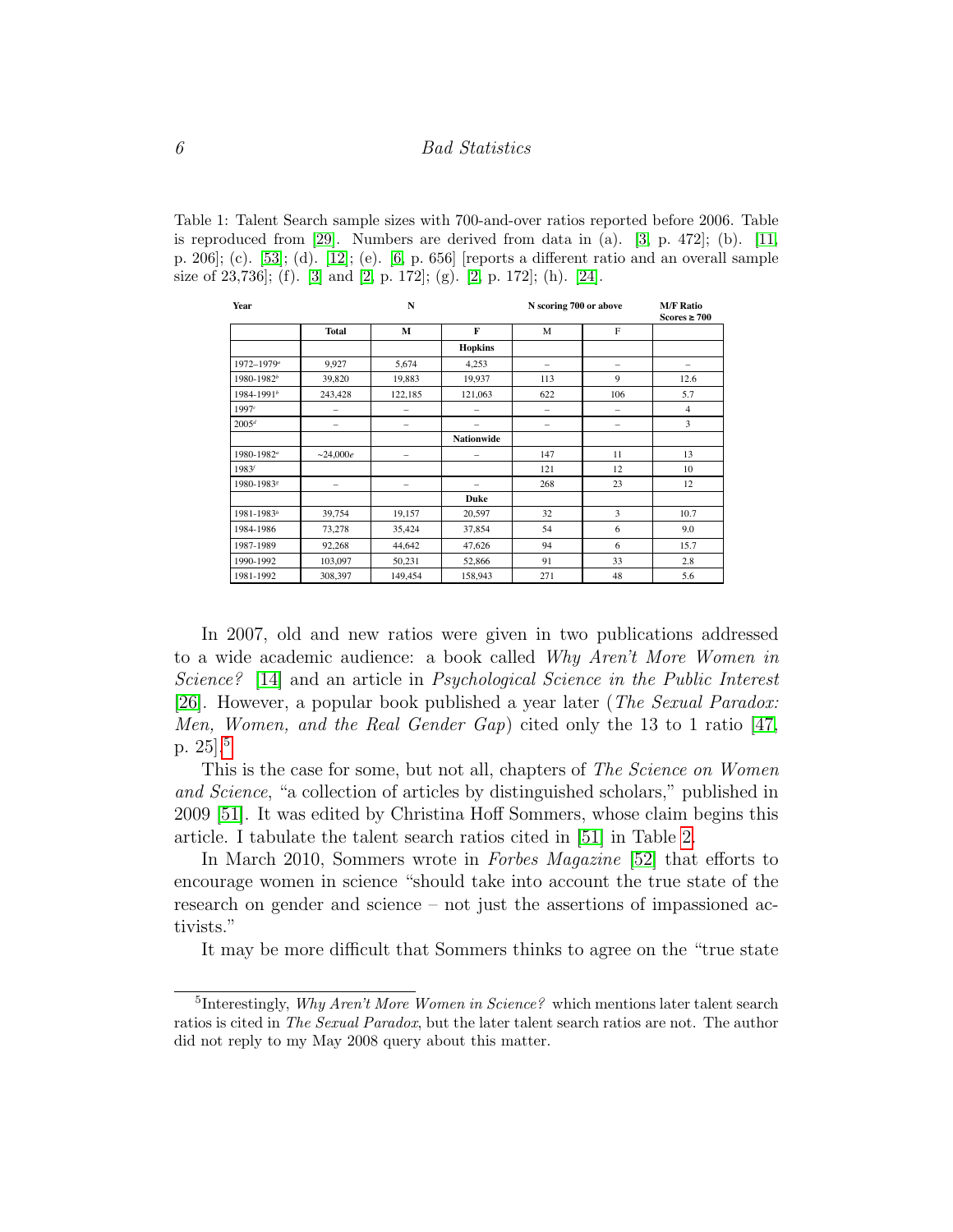Table 1: Talent Search sample sizes with 700-and-over ratios reported before 2006. Table is reproduced from  $[29]$ . Numbers are derived from data in  $(a)$ .  $[3, p. 472]$  $[3, p. 472]$ ;  $(b)$ .  $[11,$ p. 206]; (c). [\[53\]](#page-24-2); (d). [\[12\]](#page-21-0); (e). [\[6,](#page-20-7) p. 656] [reports a different ratio and an overall sample size of  $23,736$ ; (f). [\[3\]](#page-20-6) and [\[2,](#page-20-3) p. 172]; (g). [2, p. 172]; (h). [\[24\]](#page-22-5).

| Year                   |                          | N                        |                   | N scoring 700 or above   | <b>M/F Ratio</b><br>Scores $\geq 700$ |                |  |
|------------------------|--------------------------|--------------------------|-------------------|--------------------------|---------------------------------------|----------------|--|
|                        | <b>Total</b>             | M                        | F                 | M                        | F                                     |                |  |
|                        |                          |                          | <b>Hopkins</b>    |                          |                                       |                |  |
| 1972-1979 <sup>a</sup> | 9,927                    | 5,674                    | 4,253             | $\overline{\phantom{0}}$ | $\overline{\phantom{0}}$              |                |  |
| 1980-1982 <sup>b</sup> | 39,820                   | 19,883                   | 19,937            | 113                      | 9                                     | 12.6           |  |
| 1984-1991 <sup>b</sup> | 243,428                  | 122,185                  | 121,063           | 622                      | 106                                   | 5.7            |  |
| 1997c                  |                          |                          |                   | -                        |                                       | $\overline{4}$ |  |
| $2005^d$               | $\overline{\phantom{0}}$ | $\overline{\phantom{0}}$ |                   | $\overline{\phantom{0}}$ | $\overline{\phantom{0}}$              | 3              |  |
|                        |                          |                          | <b>Nationwide</b> |                          |                                       |                |  |
| 1980-1982 <sup>a</sup> | ~1000e                   | -                        |                   | 147                      | 11                                    | 13             |  |
| $1983^{f}$             |                          |                          |                   | 121                      | 12                                    | 10             |  |
| 1980-19838             | $\overline{\phantom{0}}$ | -                        |                   | 268                      | 23                                    | 12             |  |
|                        |                          |                          | Duke              |                          |                                       |                |  |
| 1981-1983h             | 39,754                   | 19,157                   | 20,597            | 32                       | 3                                     | 10.7           |  |
| 1984-1986              | 73,278                   | 35,424                   | 37,854            | 54                       | 6                                     | 9.0            |  |
| 1987-1989              | 92,268                   | 44,642                   | 47,626            | 94                       | 6                                     | 15.7           |  |
| 1990-1992              | 103,097                  | 50,231                   | 52,866            | 91                       | 33                                    | 2.8            |  |
| 1981-1992              | 308,397                  | 149,454                  | 158,943           | 271                      | 48                                    | 5.6            |  |

In 2007, old and new ratios were given in two publications addressed to a wide academic audience: a book called Why Aren't More Women in Science? [\[14\]](#page-21-2) and an article in Psychological Science in the Public Interest [\[26\]](#page-22-6). However, a popular book published a year later (The Sexual Paradox: Men, Women, and the Real Gender Gap) cited only the 13 to 1 ratio [\[47,](#page-24-3) p. 25].[5](#page-5-0)

This is the case for some, but not all, chapters of The Science on Women and Science, "a collection of articles by distinguished scholars," published in 2009 [\[51\]](#page-24-4). It was edited by Christina Hoff Sommers, whose claim begins this article. I tabulate the talent search ratios cited in [\[51\]](#page-24-4) in Table [2.](#page-6-0)

In March 2010, Sommers wrote in Forbes Magazine [\[52\]](#page-24-5) that efforts to encourage women in science "should take into account the true state of the research on gender and science – not just the assertions of impassioned activists."

It may be more difficult that Sommers thinks to agree on the "true state

<span id="page-5-0"></span><sup>&</sup>lt;sup>5</sup>Interestingly, *Why Aren't More Women in Science?* which mentions later talent search ratios is cited in *The Sexual Paradox*, but the later talent search ratios are not. The author did not reply to my May 2008 query about this matter.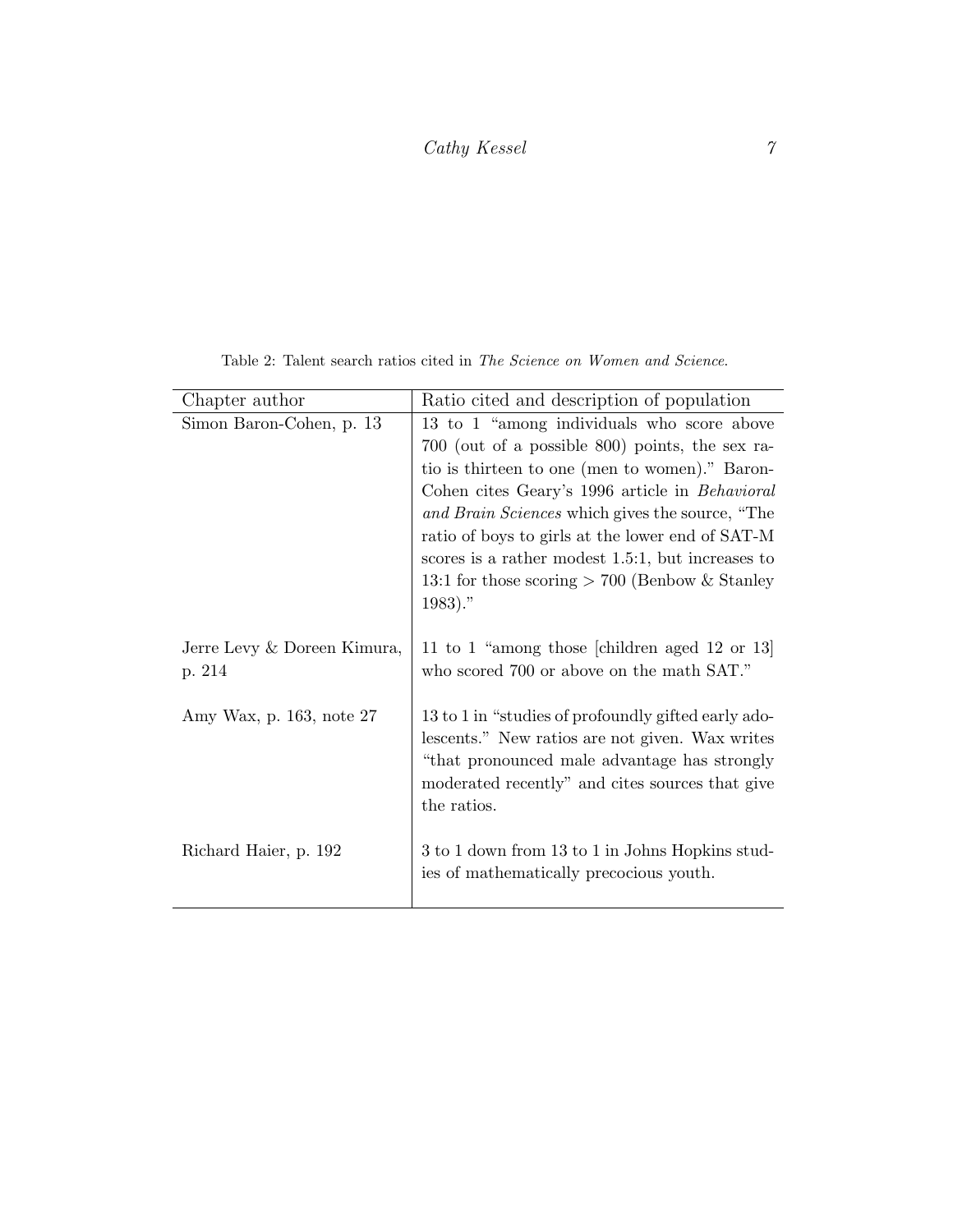### $\label{eq:cathyKessel} \begin{array}{cc} Cathy\ Kessel \end{array} \qquad \qquad \gamma$

| Chapter author                        | Ratio cited and description of population                                                                                                                                                                                                                                                                                                                                                                                       |
|---------------------------------------|---------------------------------------------------------------------------------------------------------------------------------------------------------------------------------------------------------------------------------------------------------------------------------------------------------------------------------------------------------------------------------------------------------------------------------|
| Simon Baron-Cohen, p. 13              | 13 to 1 "among individuals who score above<br>700 (out of a possible 800) points, the sex ra-<br>tio is thirteen to one (men to women)." Baron-<br>Cohen cites Geary's 1996 article in Behavioral<br>and Brain Sciences which gives the source, "The<br>ratio of boys to girls at the lower end of SAT-M<br>scores is a rather modest 1.5:1, but increases to<br>13:1 for those scoring $> 700$ (Benbow & Stanley<br>$1983)$ ." |
| Jerre Levy & Doreen Kimura,<br>p. 214 | 11 to 1 "among those [children aged 12 or 13]<br>who scored 700 or above on the math SAT."                                                                                                                                                                                                                                                                                                                                      |
| Amy Wax, p. 163, note 27              | 13 to 1 in "studies of profoundly gifted early ado-<br>lescents." New ratios are not given. Wax writes<br>"that pronounced male advantage has strongly<br>moderated recently" and cites sources that give<br>the ratios.                                                                                                                                                                                                        |
| Richard Haier, p. 192                 | 3 to 1 down from 13 to 1 in Johns Hopkins stud-<br>ies of mathematically precocious youth.                                                                                                                                                                                                                                                                                                                                      |

<span id="page-6-0"></span>Table 2: Talent search ratios cited in The Science on Women and Science.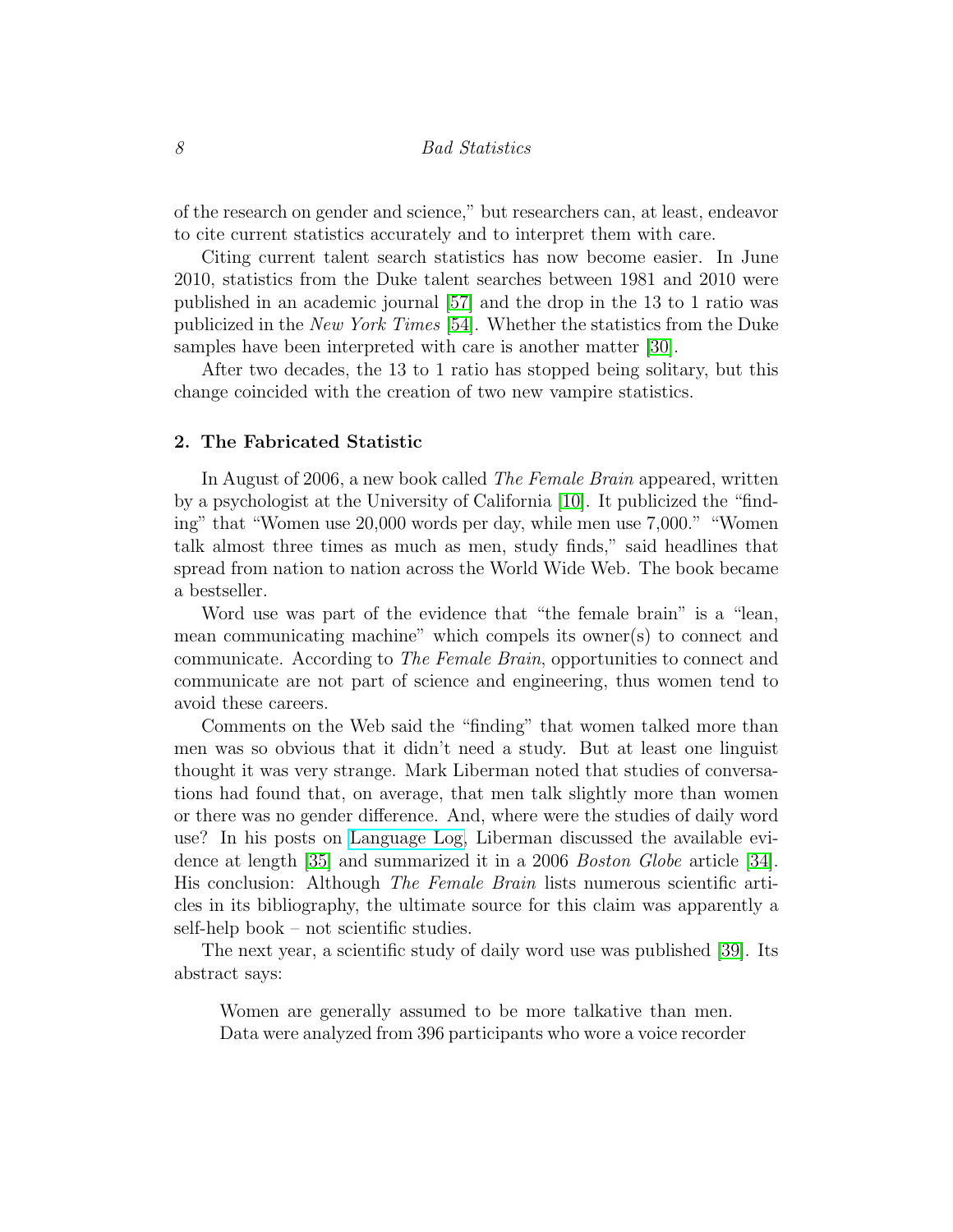of the research on gender and science," but researchers can, at least, endeavor to cite current statistics accurately and to interpret them with care.

Citing current talent search statistics has now become easier. In June 2010, statistics from the Duke talent searches between 1981 and 2010 were published in an academic journal [\[57\]](#page-25-1) and the drop in the 13 to 1 ratio was publicized in the New York Times [\[54\]](#page-24-6). Whether the statistics from the Duke samples have been interpreted with care is another matter [\[30\]](#page-22-7).

After two decades, the 13 to 1 ratio has stopped being solitary, but this change coincided with the creation of two new vampire statistics.

#### 2. The Fabricated Statistic

In August of 2006, a new book called *The Female Brain* appeared, written by a psychologist at the University of California [\[10\]](#page-20-8). It publicized the "finding" that "Women use 20,000 words per day, while men use 7,000." "Women talk almost three times as much as men, study finds," said headlines that spread from nation to nation across the World Wide Web. The book became a bestseller.

Word use was part of the evidence that "the female brain" is a "lean, mean communicating machine" which compels its owner(s) to connect and communicate. According to The Female Brain, opportunities to connect and communicate are not part of science and engineering, thus women tend to avoid these careers.

Comments on the Web said the "finding" that women talked more than men was so obvious that it didn't need a study. But at least one linguist thought it was very strange. Mark Liberman noted that studies of conversations had found that, on average, that men talk slightly more than women or there was no gender difference. And, where were the studies of daily word use? In his posts on [Language Log,](http://languagelog.ldc.upenn.edu/nll/) Liberman discussed the available evidence at length [\[35\]](#page-23-3) and summarized it in a 2006 Boston Globe article [\[34\]](#page-23-4). His conclusion: Although The Female Brain lists numerous scientific articles in its bibliography, the ultimate source for this claim was apparently a self-help book – not scientific studies.

The next year, a scientific study of daily word use was published [\[39\]](#page-23-5). Its abstract says:

Women are generally assumed to be more talkative than men. Data were analyzed from 396 participants who wore a voice recorder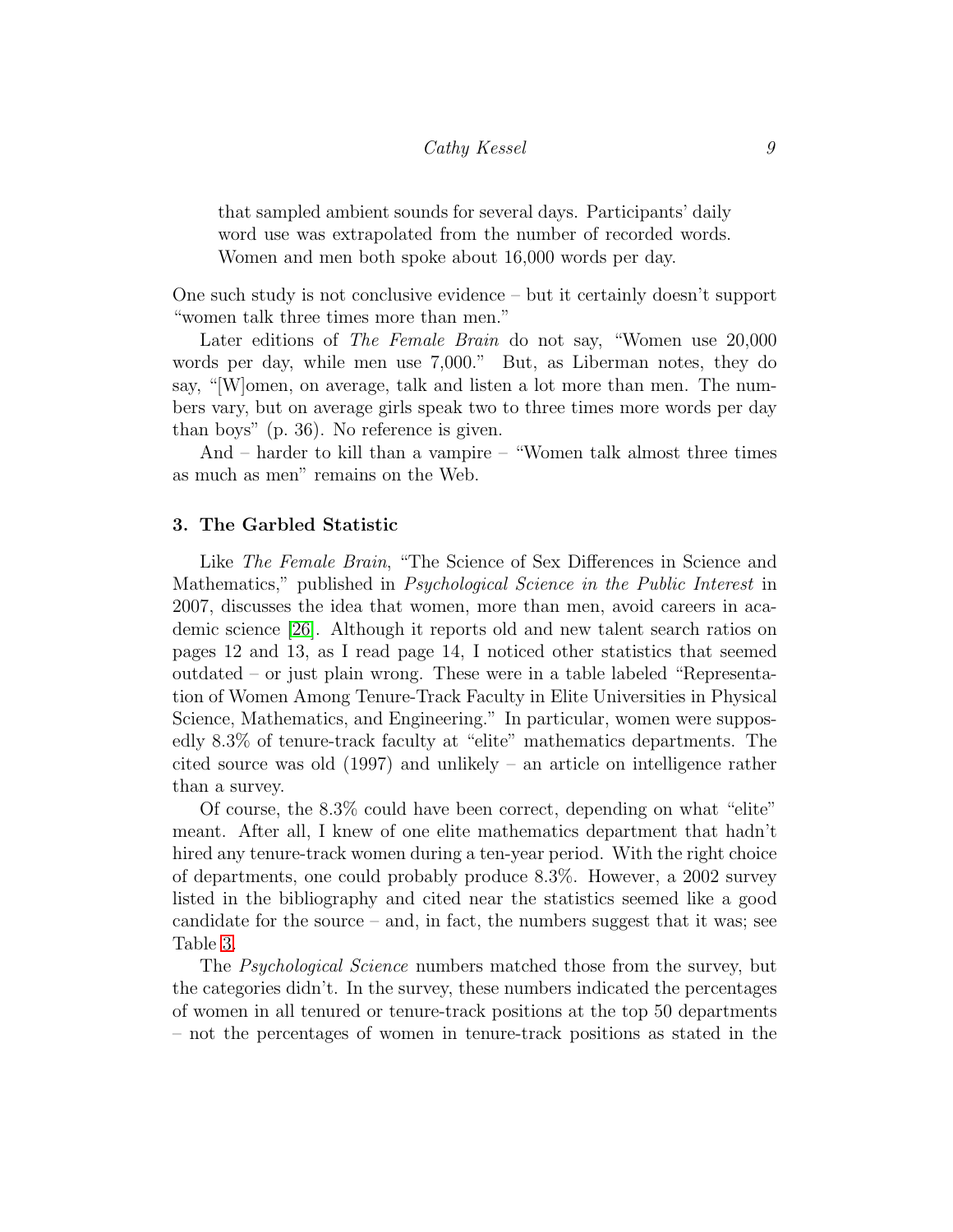that sampled ambient sounds for several days. Participants' daily word use was extrapolated from the number of recorded words. Women and men both spoke about 16,000 words per day.

One such study is not conclusive evidence – but it certainly doesn't support "women talk three times more than men."

Later editions of The Female Brain do not say, "Women use 20,000 words per day, while men use 7,000." But, as Liberman notes, they do say, "[W]omen, on average, talk and listen a lot more than men. The numbers vary, but on average girls speak two to three times more words per day than boys" (p. 36). No reference is given.

And – harder to kill than a vampire – "Women talk almost three times as much as men" remains on the Web.

#### 3. The Garbled Statistic

Like *The Female Brain*, "The Science of Sex Differences in Science and Mathematics," published in Psychological Science in the Public Interest in 2007, discusses the idea that women, more than men, avoid careers in academic science [\[26\]](#page-22-6). Although it reports old and new talent search ratios on pages 12 and 13, as I read page 14, I noticed other statistics that seemed outdated – or just plain wrong. These were in a table labeled "Representation of Women Among Tenure-Track Faculty in Elite Universities in Physical Science, Mathematics, and Engineering." In particular, women were supposedly 8.3% of tenure-track faculty at "elite" mathematics departments. The cited source was old (1997) and unlikely – an article on intelligence rather than a survey.

Of course, the 8.3% could have been correct, depending on what "elite" meant. After all, I knew of one elite mathematics department that hadn't hired any tenure-track women during a ten-year period. With the right choice of departments, one could probably produce 8.3%. However, a 2002 survey listed in the bibliography and cited near the statistics seemed like a good candidate for the source – and, in fact, the numbers suggest that it was; see Table [3.](#page-9-0)

The *Psychological Science* numbers matched those from the survey, but the categories didn't. In the survey, these numbers indicated the percentages of women in all tenured or tenure-track positions at the top 50 departments – not the percentages of women in tenure-track positions as stated in the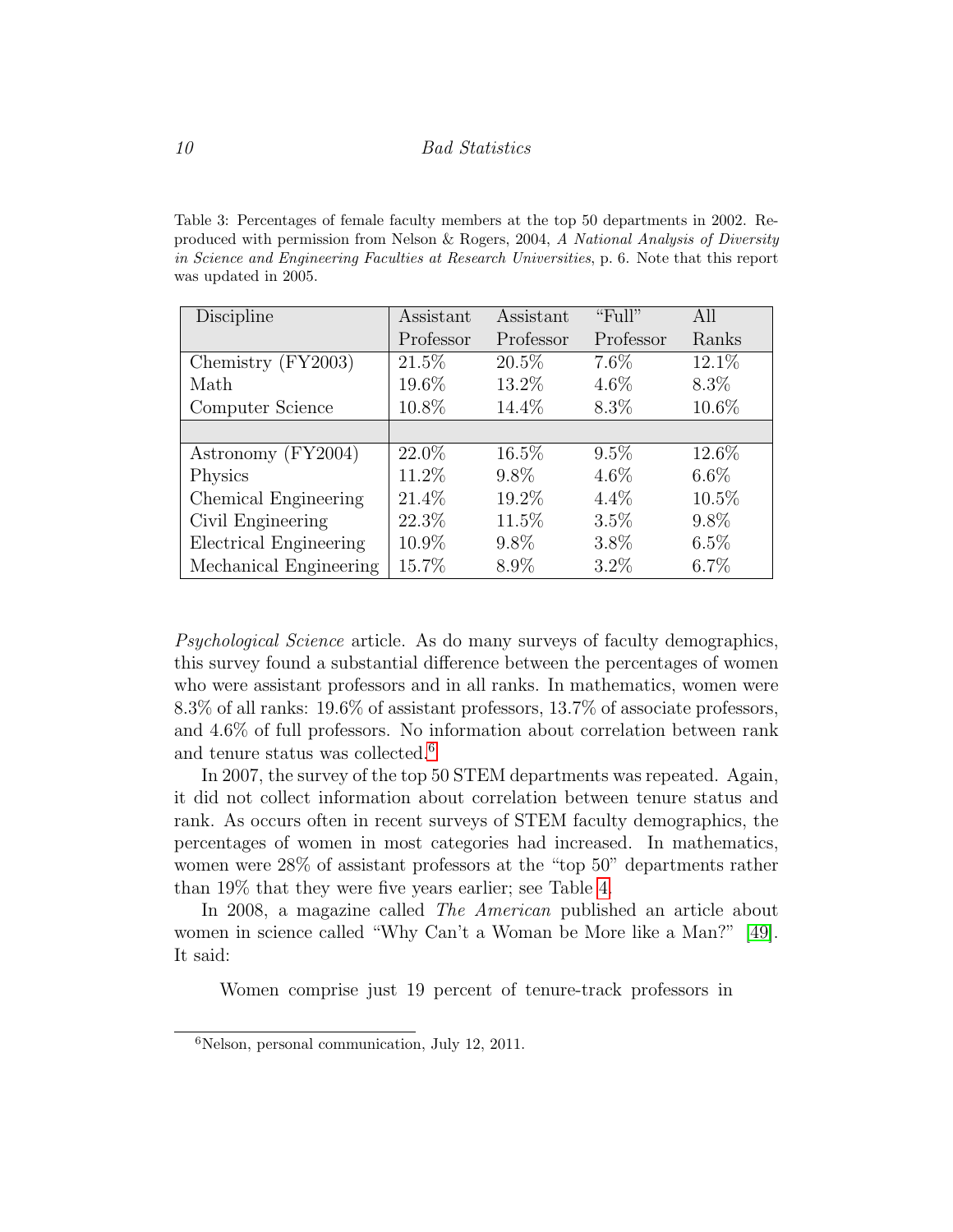<span id="page-9-0"></span>Table 3: Percentages of female faculty members at the top 50 departments in 2002. Reproduced with permission from Nelson & Rogers, 2004, A National Analysis of Diversity in Science and Engineering Faculties at Research Universities, p. 6. Note that this report was updated in 2005.

| Discipline             | Assistant | Assistant | " $Full"$ | All      |
|------------------------|-----------|-----------|-----------|----------|
|                        | Professor | Professor | Professor | Ranks    |
| Chemistry (FY2003)     | $21.5\%$  | $20.5\%$  | 7.6%      | 12.1\%   |
| Math                   | 19.6%     | 13.2%     | $4.6\%$   | $8.3\%$  |
| Computer Science       | 10.8%     | 14.4%     | 8.3%      | 10.6%    |
|                        |           |           |           |          |
| Astronomy (FY2004)     | $22.0\%$  | $16.5\%$  | $9.5\%$   | 12.6%    |
| Physics                | 11.2%     | $9.8\%$   | $4.6\%$   | $6.6\%$  |
| Chemical Engineering   | 21.4%     | 19.2%     | $4.4\%$   | $10.5\%$ |
| Civil Engineering      | 22.3%     | 11.5%     | 3.5%      | $9.8\%$  |
| Electrical Engineering | 10.9%     | $9.8\%$   | $3.8\%$   | $6.5\%$  |
| Mechanical Engineering | 15.7%     | $8.9\%$   | $3.2\%$   | $6.7\%$  |

Psychological Science article. As do many surveys of faculty demographics, this survey found a substantial difference between the percentages of women who were assistant professors and in all ranks. In mathematics, women were 8.3% of all ranks: 19.6% of assistant professors, 13.7% of associate professors, and 4.6% of full professors. No information about correlation between rank and tenure status was collected.<sup>[6](#page-9-1)</sup>

In 2007, the survey of the top 50 STEM departments was repeated. Again, it did not collect information about correlation between tenure status and rank. As occurs often in recent surveys of STEM faculty demographics, the percentages of women in most categories had increased. In mathematics, women were 28% of assistant professors at the "top 50" departments rather than 19% that they were five years earlier; see Table [4.](#page-10-0)

In 2008, a magazine called The American published an article about women in science called "Why Can't a Woman be More like a Man?" [\[49\]](#page-24-7). It said:

Women comprise just 19 percent of tenure-track professors in

<span id="page-9-1"></span><sup>6</sup>Nelson, personal communication, July 12, 2011.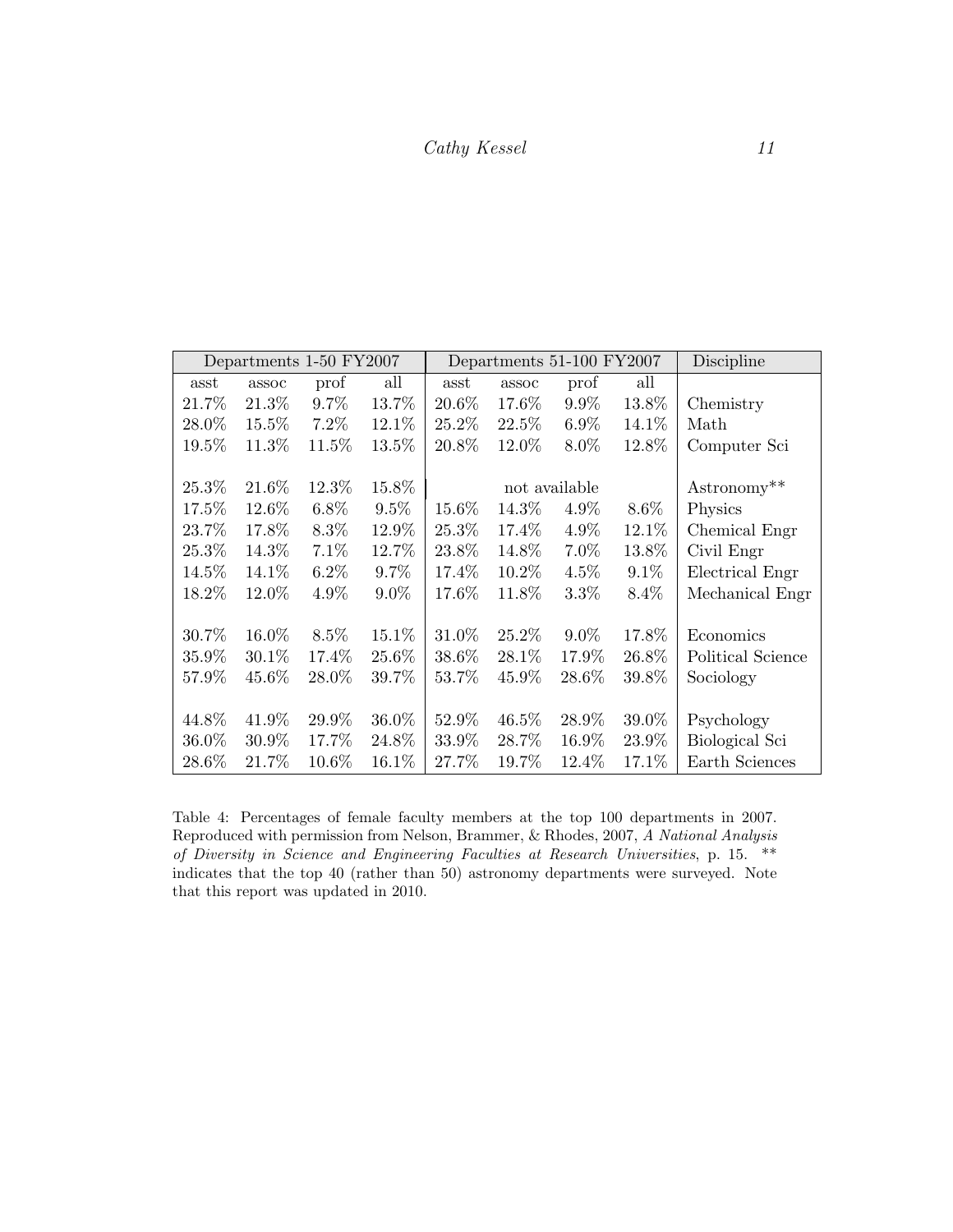|       | Departments 1-50 FY2007 |         |         |        | Departments 51-100 FY2007 |               |         | Discipline            |
|-------|-------------------------|---------|---------|--------|---------------------------|---------------|---------|-----------------------|
| asst  | assoc                   | prof    | all     | asst   | assoc                     | prof          | all     |                       |
| 21.7% | 21.3%                   | 9.7%    | 13.7%   | 20.6%  | 17.6%                     | 9.9%          | 13.8%   | Chemistry             |
| 28.0% | 15.5%                   | $7.2\%$ | 12.1\%  | 25.2%  | 22.5%                     | $6.9\%$       | 14.1\%  | Math                  |
| 19.5% | 11.3%                   | 11.5%   | 13.5%   | 20.8%  | 12.0%                     | $8.0\%$       | 12.8%   | Computer Sci          |
|       |                         |         |         |        |                           |               |         |                       |
| 25.3% | 21.6%                   | 12.3%   | 15.8%   |        |                           | not available |         | Astronomy**           |
| 17.5% | 12.6%                   | $6.8\%$ | $9.5\%$ | 15.6%  | 14.3%                     | $4.9\%$       | 8.6%    | Physics               |
| 23.7% | 17.8%                   | 8.3%    | 12.9%   | 25.3%  | 17.4%                     | 4.9%          | 12.1%   | Chemical Engr         |
| 25.3% | 14.3%                   | 7.1%    | 12.7%   | 23.8%  | 14.8%                     | 7.0%          | 13.8%   | Civil Engr            |
| 14.5% | 14.1\%                  | $6.2\%$ | $9.7\%$ | 17.4\% | 10.2%                     | $4.5\%$       | 9.1%    | Electrical Engr       |
| 18.2% | 12.0%                   | $4.9\%$ | $9.0\%$ | 17.6%  | 11.8%                     | $3.3\%$       | $8.4\%$ | Mechanical Engr       |
|       |                         |         |         |        |                           |               |         |                       |
| 30.7% | 16.0%                   | $8.5\%$ | 15.1%   | 31.0%  | 25.2%                     | $9.0\%$       | 17.8%   | Economics             |
| 35.9% | $30.1\%$                | 17.4%   | 25.6%   | 38.6%  | 28.1\%                    | 17.9%         | 26.8%   | Political Science     |
| 57.9% | 45.6%                   | 28.0%   | 39.7%   | 53.7%  | 45.9%                     | 28.6%         | 39.8%   | Sociology             |
|       |                         |         |         |        |                           |               |         |                       |
| 44.8% | 41.9%                   | 29.9%   | 36.0%   | 52.9%  | 46.5%                     | 28.9%         | 39.0%   | Psychology            |
| 36.0% | 30.9%                   | 17.7%   | 24.8%   | 33.9%  | 28.7%                     | 16.9%         | 23.9%   | <b>Biological Sci</b> |
| 28.6% | 21.7%                   | 10.6%   | 16.1%   | 27.7%  | 19.7%                     | 12.4%         | 17.1\%  | Earth Sciences        |

<span id="page-10-0"></span>Table 4: Percentages of female faculty members at the top 100 departments in 2007. Reproduced with permission from Nelson, Brammer, & Rhodes, 2007, A National Analysis of Diversity in Science and Engineering Faculties at Research Universities, p. 15. \*\* indicates that the top 40 (rather than 50) astronomy departments were surveyed. Note that this report was updated in 2010.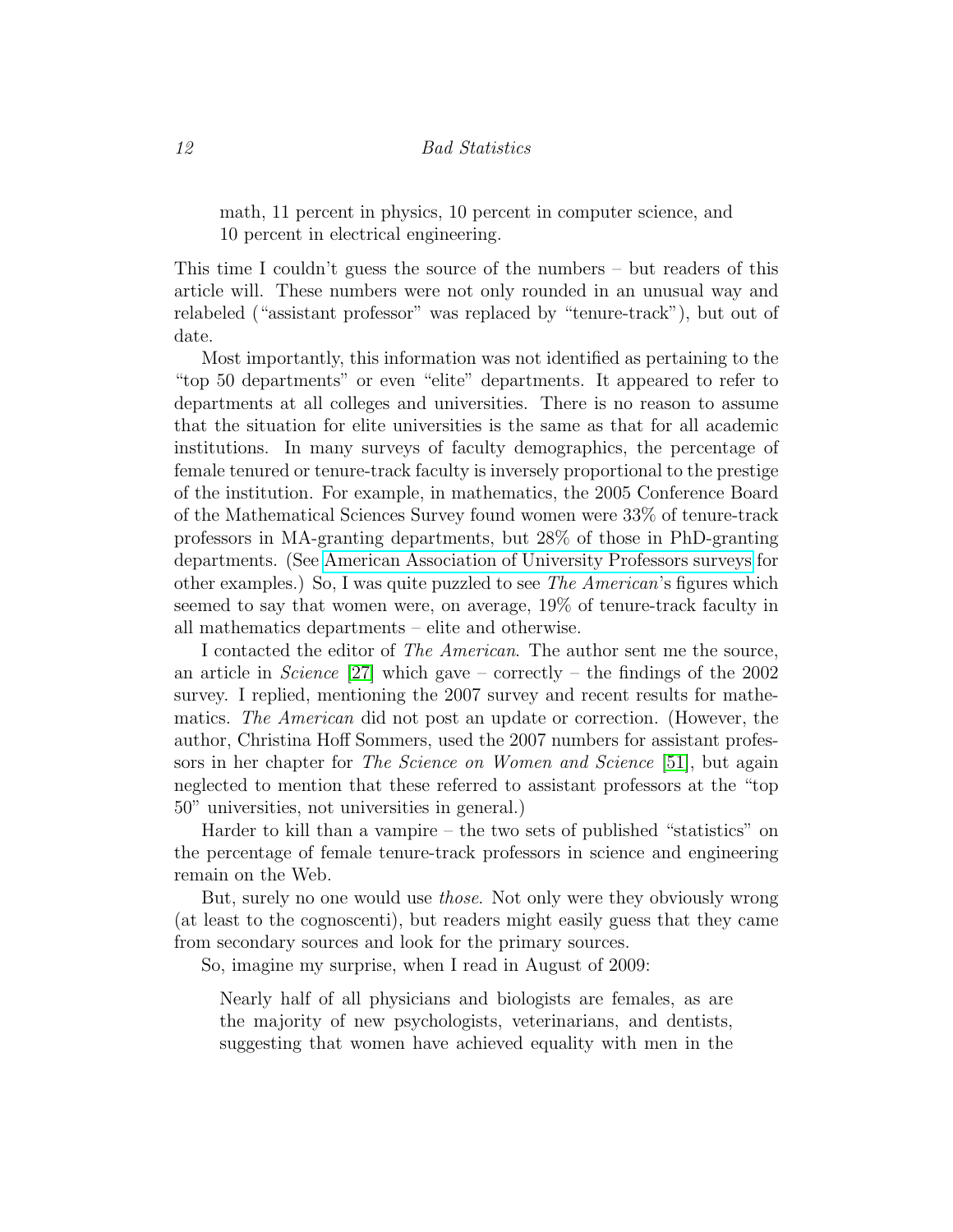math, 11 percent in physics, 10 percent in computer science, and 10 percent in electrical engineering.

This time I couldn't guess the source of the numbers – but readers of this article will. These numbers were not only rounded in an unusual way and relabeled ("assistant professor" was replaced by "tenure-track"), but out of date.

Most importantly, this information was not identified as pertaining to the "top 50 departments" or even "elite" departments. It appeared to refer to departments at all colleges and universities. There is no reason to assume that the situation for elite universities is the same as that for all academic institutions. In many surveys of faculty demographics, the percentage of female tenured or tenure-track faculty is inversely proportional to the prestige of the institution. For example, in mathematics, the 2005 Conference Board of the Mathematical Sciences Survey found women were 33% of tenure-track professors in MA-granting departments, but 28% of those in PhD-granting departments. (See [American Association of University Professors surveys](http://www.aaup.~org/AAUP/pubsres/research/geneq2006.htm) for other examples.) So, I was quite puzzled to see The American's figures which seemed to say that women were, on average, 19% of tenure-track faculty in all mathematics departments – elite and otherwise.

I contacted the editor of The American. The author sent me the source, an article in *Science* [\[27\]](#page-22-8) which gave – correctly – the findings of the 2002 survey. I replied, mentioning the 2007 survey and recent results for mathematics. The American did not post an update or correction. (However, the author, Christina Hoff Sommers, used the 2007 numbers for assistant professors in her chapter for The Science on Women and Science [\[51\]](#page-24-4), but again neglected to mention that these referred to assistant professors at the "top 50" universities, not universities in general.)

Harder to kill than a vampire – the two sets of published "statistics" on the percentage of female tenure-track professors in science and engineering remain on the Web.

But, surely no one would use those. Not only were they obviously wrong (at least to the cognoscenti), but readers might easily guess that they came from secondary sources and look for the primary sources.

So, imagine my surprise, when I read in August of 2009:

Nearly half of all physicians and biologists are females, as are the majority of new psychologists, veterinarians, and dentists, suggesting that women have achieved equality with men in the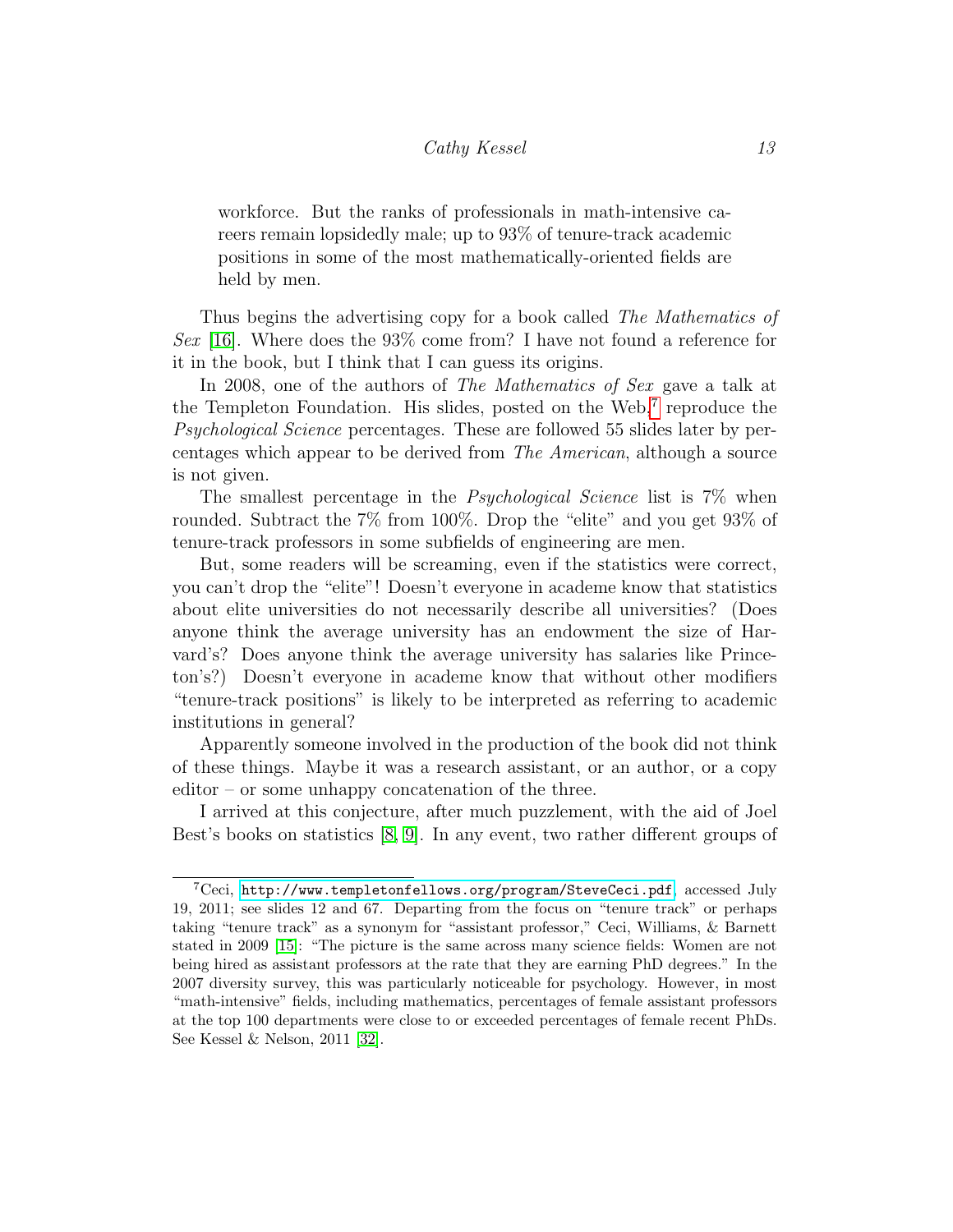workforce. But the ranks of professionals in math-intensive careers remain lopsidedly male; up to 93% of tenure-track academic positions in some of the most mathematically-oriented fields are held by men.

Thus begins the advertising copy for a book called The Mathematics of Sex [\[16\]](#page-21-3). Where does the 93% come from? I have not found a reference for it in the book, but I think that I can guess its origins.

In 2008, one of the authors of The Mathematics of Sex gave a talk at the Templeton Foundation. His slides, posted on the Web,<sup>[7](#page-12-0)</sup> reproduce the Psychological Science percentages. These are followed 55 slides later by percentages which appear to be derived from The American, although a source is not given.

The smallest percentage in the *Psychological Science* list is  $7\%$  when rounded. Subtract the 7% from 100%. Drop the "elite" and you get 93% of tenure-track professors in some subfields of engineering are men.

But, some readers will be screaming, even if the statistics were correct, you can't drop the "elite"! Doesn't everyone in academe know that statistics about elite universities do not necessarily describe all universities? (Does anyone think the average university has an endowment the size of Harvard's? Does anyone think the average university has salaries like Princeton's?) Doesn't everyone in academe know that without other modifiers "tenure-track positions" is likely to be interpreted as referring to academic institutions in general?

Apparently someone involved in the production of the book did not think of these things. Maybe it was a research assistant, or an author, or a copy editor – or some unhappy concatenation of the three.

I arrived at this conjecture, after much puzzlement, with the aid of Joel Best's books on statistics [\[8,](#page-20-9) [9\]](#page-20-0). In any event, two rather different groups of

<span id="page-12-0"></span><sup>7</sup>Ceci, <http://www.templetonfellows.org/program/SteveCeci.pdf>, accessed July 19, 2011; see slides 12 and 67. Departing from the focus on "tenure track" or perhaps taking "tenure track" as a synonym for "assistant professor," Ceci, Williams, & Barnett stated in 2009 [\[15\]](#page-21-4): "The picture is the same across many science fields: Women are not being hired as assistant professors at the rate that they are earning PhD degrees." In the 2007 diversity survey, this was particularly noticeable for psychology. However, in most "math-intensive" fields, including mathematics, percentages of female assistant professors at the top 100 departments were close to or exceeded percentages of female recent PhDs. See Kessel & Nelson, 2011 [\[32\]](#page-23-6).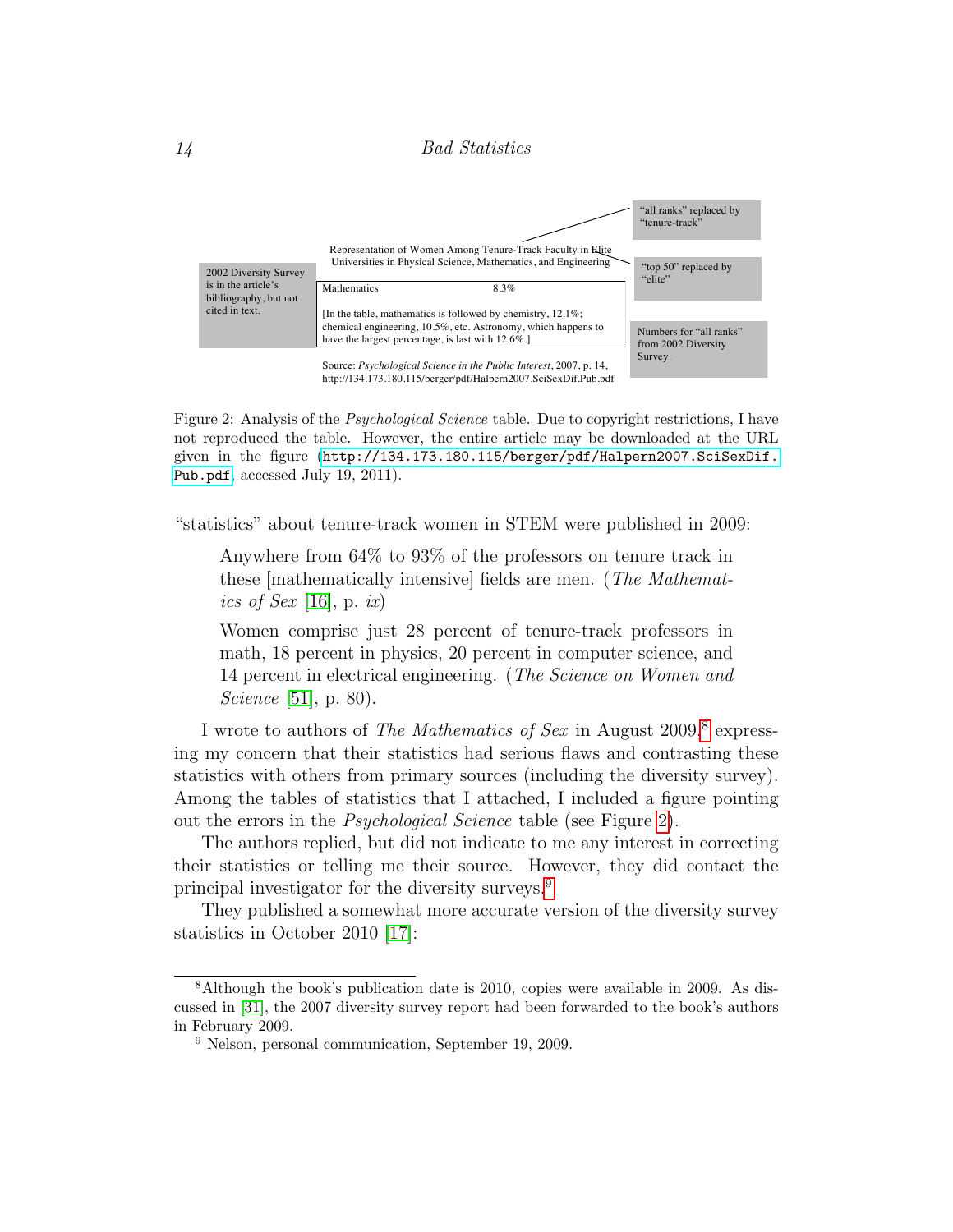#### 14 Bad Statistics attached, I included a figure pointing out the errors in the *Psychological Science* table.



<span id="page-13-1"></span>Figure 2: Analysis of the *Psychological Science* table. Due to copyright restrictions, I have not reproduced the table. However, the entire article may be downloaded at the URL given in the figure ([http://134.173.180.115/berger/pdf/Halpern2007.SciSexDif.](http://134.173.180.115/berger/pdf/Halpern2007.SciSexDif.Pub.pdf) [Pub.pdf](http://134.173.180.115/berger/pdf/Halpern2007.SciSexDif.Pub.pdf), accessed July 19, 2011).

"statistics" about tenure-track women in STEM were published in 2009:

Anywhere from 64% to 93% of the professors on tenure track in these [mathematically intensive] fields are men. (The Mathemat-ics of Sex [\[16\]](#page-21-3), p. ix)

Women comprise just 28 percent of tenure-track professors in math, 18 percent in physics, 20 percent in computer science, and 14 percent in electrical engineering. (The Science on Women and *Science* [\[51\]](#page-24-4), p. 80).

I wrote to authors of The Mathematics of Sex in August 2009,<sup>[8](#page-13-0)</sup> expressing my concern that their statistics had serious flaws and contrasting these statistics with others from primary sources (including the diversity survey). Among the tables of statistics that I attached, I included a figure pointing out the errors in the Psychological Science table (see Figure [2\)](#page-13-1).

The authors replied, but did not indicate to me any interest in correcting their statistics or telling me their source. However, they did contact the principal investigator for the diversity surveys.<sup>[9](#page-13-2)</sup>

They published a somewhat more accurate version of the diversity survey statistics in October 2010 [\[17\]](#page-21-5):

<span id="page-13-0"></span><sup>8</sup>Although the book's publication date is 2010, copies were available in 2009. As discussed in [\[31\]](#page-22-9), the 2007 diversity survey report had been forwarded to the book's authors in February 2009.

<span id="page-13-2"></span><sup>9</sup> Nelson, personal communication, September 19, 2009.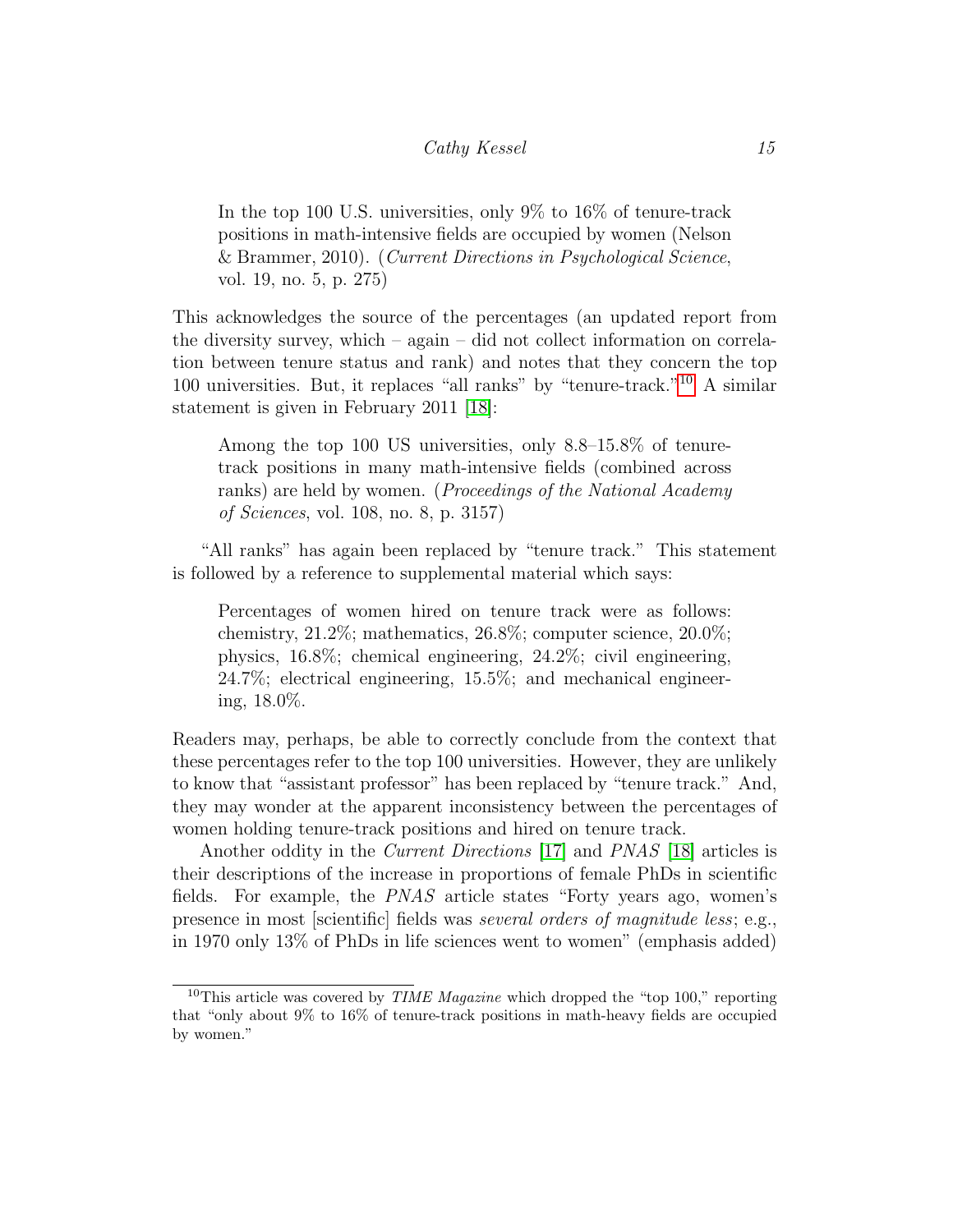In the top 100 U.S. universities, only 9% to 16% of tenure-track positions in math-intensive fields are occupied by women (Nelson & Brammer, 2010). (Current Directions in Psychological Science, vol. 19, no. 5, p. 275)

This acknowledges the source of the percentages (an updated report from the diversity survey, which – again – did not collect information on correlation between tenure status and rank) and notes that they concern the top 100 universities. But, it replaces "all ranks" by "tenure-track."[10](#page-14-0) A similar statement is given in February 2011 [\[18\]](#page-21-6):

Among the top 100 US universities, only 8.8–15.8% of tenuretrack positions in many math-intensive fields (combined across ranks) are held by women. (*Proceedings of the National Academy* of Sciences, vol. 108, no. 8, p. 3157)

"All ranks" has again been replaced by "tenure track." This statement is followed by a reference to supplemental material which says:

Percentages of women hired on tenure track were as follows: chemistry, 21.2%; mathematics, 26.8%; computer science, 20.0%; physics, 16.8%; chemical engineering, 24.2%; civil engineering, 24.7%; electrical engineering, 15.5%; and mechanical engineering, 18.0%.

Readers may, perhaps, be able to correctly conclude from the context that these percentages refer to the top 100 universities. However, they are unlikely to know that "assistant professor" has been replaced by "tenure track." And, they may wonder at the apparent inconsistency between the percentages of women holding tenure-track positions and hired on tenure track.

Another oddity in the *Current Directions* [\[17\]](#page-21-5) and *PNAS* [\[18\]](#page-21-6) articles is their descriptions of the increase in proportions of female PhDs in scientific fields. For example, the PNAS article states "Forty years ago, women's presence in most [scientific] fields was several orders of magnitude less; e.g., in 1970 only 13% of PhDs in life sciences went to women" (emphasis added)

<span id="page-14-0"></span><sup>&</sup>lt;sup>10</sup>This article was covered by *TIME Magazine* which dropped the "top 100," reporting that "only about 9% to 16% of tenure-track positions in math-heavy fields are occupied by women."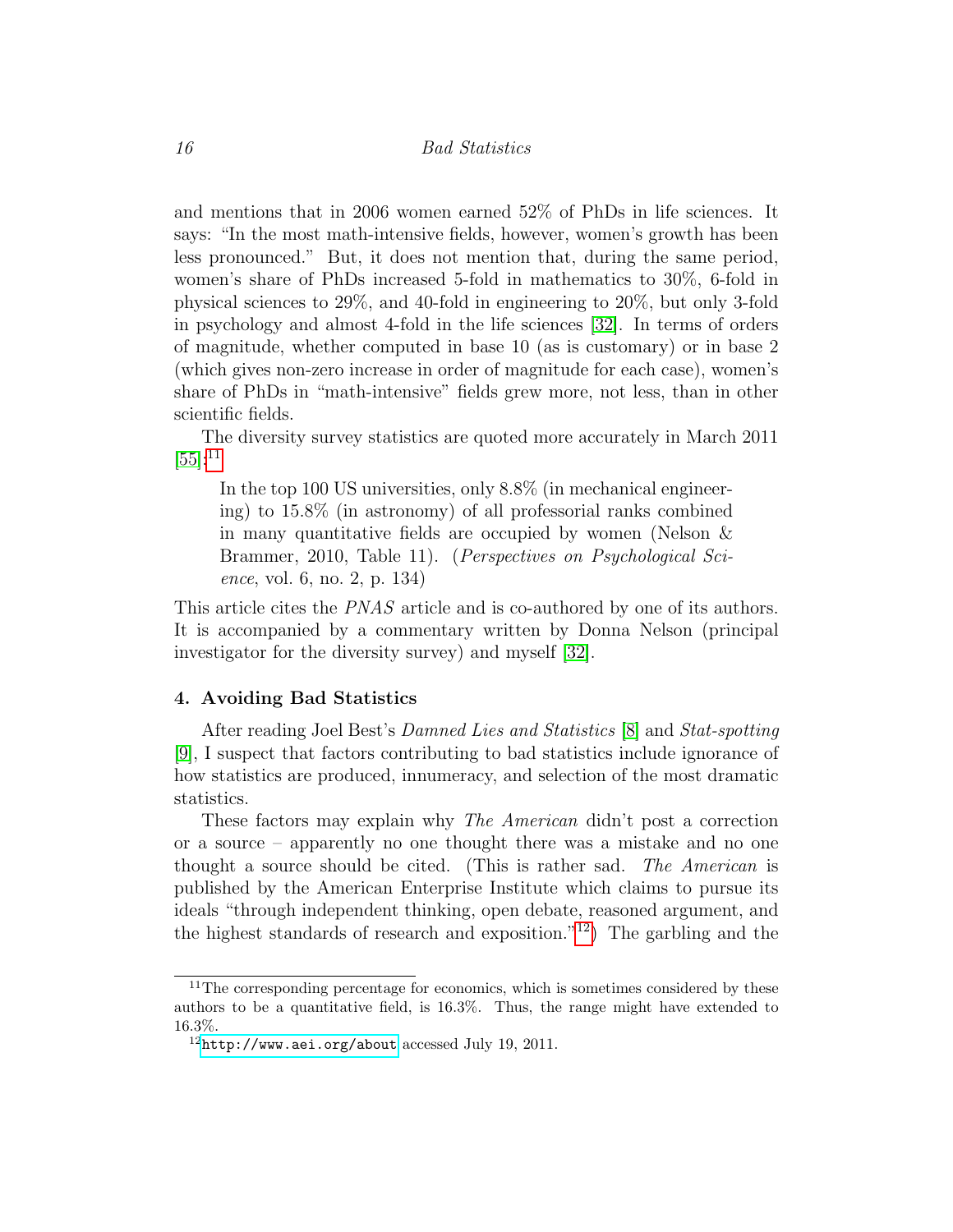and mentions that in 2006 women earned 52% of PhDs in life sciences. It says: "In the most math-intensive fields, however, women's growth has been less pronounced." But, it does not mention that, during the same period, women's share of PhDs increased 5-fold in mathematics to 30%, 6-fold in physical sciences to 29%, and 40-fold in engineering to 20%, but only 3-fold in psychology and almost 4-fold in the life sciences [\[32\]](#page-23-6). In terms of orders of magnitude, whether computed in base 10 (as is customary) or in base 2 (which gives non-zero increase in order of magnitude for each case), women's share of PhDs in "math-intensive" fields grew more, not less, than in other scientific fields.

The diversity survey statistics are quoted more accurately in March 2011  $[55]$ :<sup>[11](#page-15-0)</sup>

In the top 100 US universities, only 8.8% (in mechanical engineering) to 15.8% (in astronomy) of all professorial ranks combined in many quantitative fields are occupied by women (Nelson & Brammer, 2010, Table 11). (*Perspectives on Psychological Sci*ence, vol. 6, no. 2, p. 134)

This article cites the *PNAS* article and is co-authored by one of its authors. It is accompanied by a commentary written by Donna Nelson (principal investigator for the diversity survey) and myself [\[32\]](#page-23-6).

#### 4. Avoiding Bad Statistics

After reading Joel Best's Damned Lies and Statistics [\[8\]](#page-20-9) and Stat-spotting [\[9\]](#page-20-0), I suspect that factors contributing to bad statistics include ignorance of how statistics are produced, innumeracy, and selection of the most dramatic statistics.

These factors may explain why *The American* didn't post a correction or a source – apparently no one thought there was a mistake and no one thought a source should be cited. (This is rather sad. The American is published by the American Enterprise Institute which claims to pursue its ideals "through independent thinking, open debate, reasoned argument, and the highest standards of research and exposition."<sup>[12](#page-15-1)</sup>) The garbling and the

<span id="page-15-0"></span><sup>&</sup>lt;sup>11</sup>The corresponding percentage for economics, which is sometimes considered by these authors to be a quantitative field, is 16.3%. Thus, the range might have extended to 16.3%.

<span id="page-15-1"></span> $12$ <http://www.aei.org/about> accessed July 19, 2011.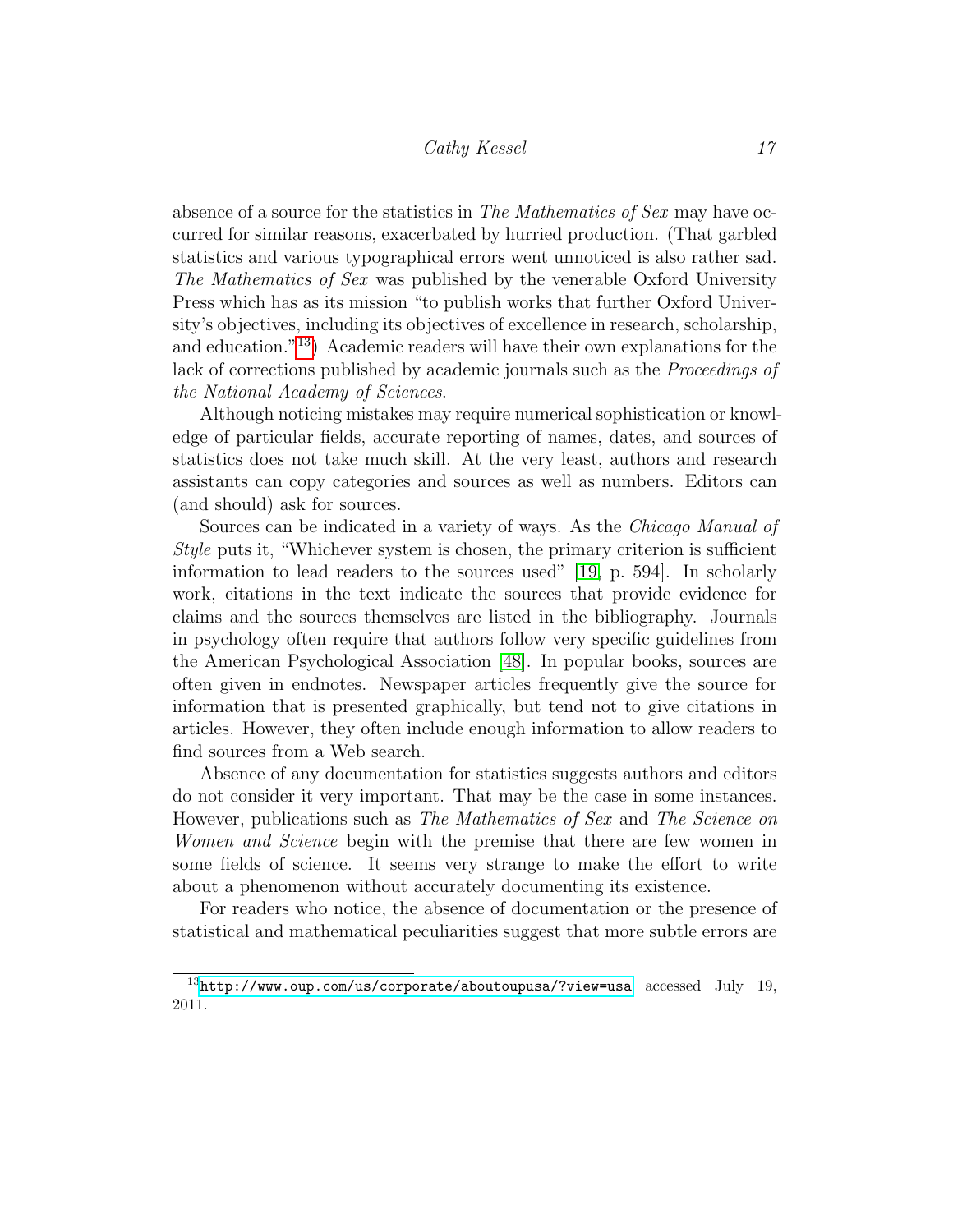absence of a source for the statistics in The Mathematics of Sex may have occurred for similar reasons, exacerbated by hurried production. (That garbled statistics and various typographical errors went unnoticed is also rather sad. The Mathematics of Sex was published by the venerable Oxford University Press which has as its mission "to publish works that further Oxford University's objectives, including its objectives of excellence in research, scholarship, and education."[13](#page-16-0)) Academic readers will have their own explanations for the lack of corrections published by academic journals such as the *Proceedings of* the National Academy of Sciences.

Although noticing mistakes may require numerical sophistication or knowledge of particular fields, accurate reporting of names, dates, and sources of statistics does not take much skill. At the very least, authors and research assistants can copy categories and sources as well as numbers. Editors can (and should) ask for sources.

Sources can be indicated in a variety of ways. As the Chicago Manual of Style puts it, "Whichever system is chosen, the primary criterion is sufficient information to lead readers to the sources used" [\[19,](#page-21-7) p. 594]. In scholarly work, citations in the text indicate the sources that provide evidence for claims and the sources themselves are listed in the bibliography. Journals in psychology often require that authors follow very specific guidelines from the American Psychological Association [\[48\]](#page-24-8). In popular books, sources are often given in endnotes. Newspaper articles frequently give the source for information that is presented graphically, but tend not to give citations in articles. However, they often include enough information to allow readers to find sources from a Web search.

Absence of any documentation for statistics suggests authors and editors do not consider it very important. That may be the case in some instances. However, publications such as The Mathematics of Sex and The Science on Women and Science begin with the premise that there are few women in some fields of science. It seems very strange to make the effort to write about a phenomenon without accurately documenting its existence.

For readers who notice, the absence of documentation or the presence of statistical and mathematical peculiarities suggest that more subtle errors are

<span id="page-16-0"></span> $13$ <http://www.oup.com/us/corporate/aboutoupusa/?view=usa> accessed July 19, 2011.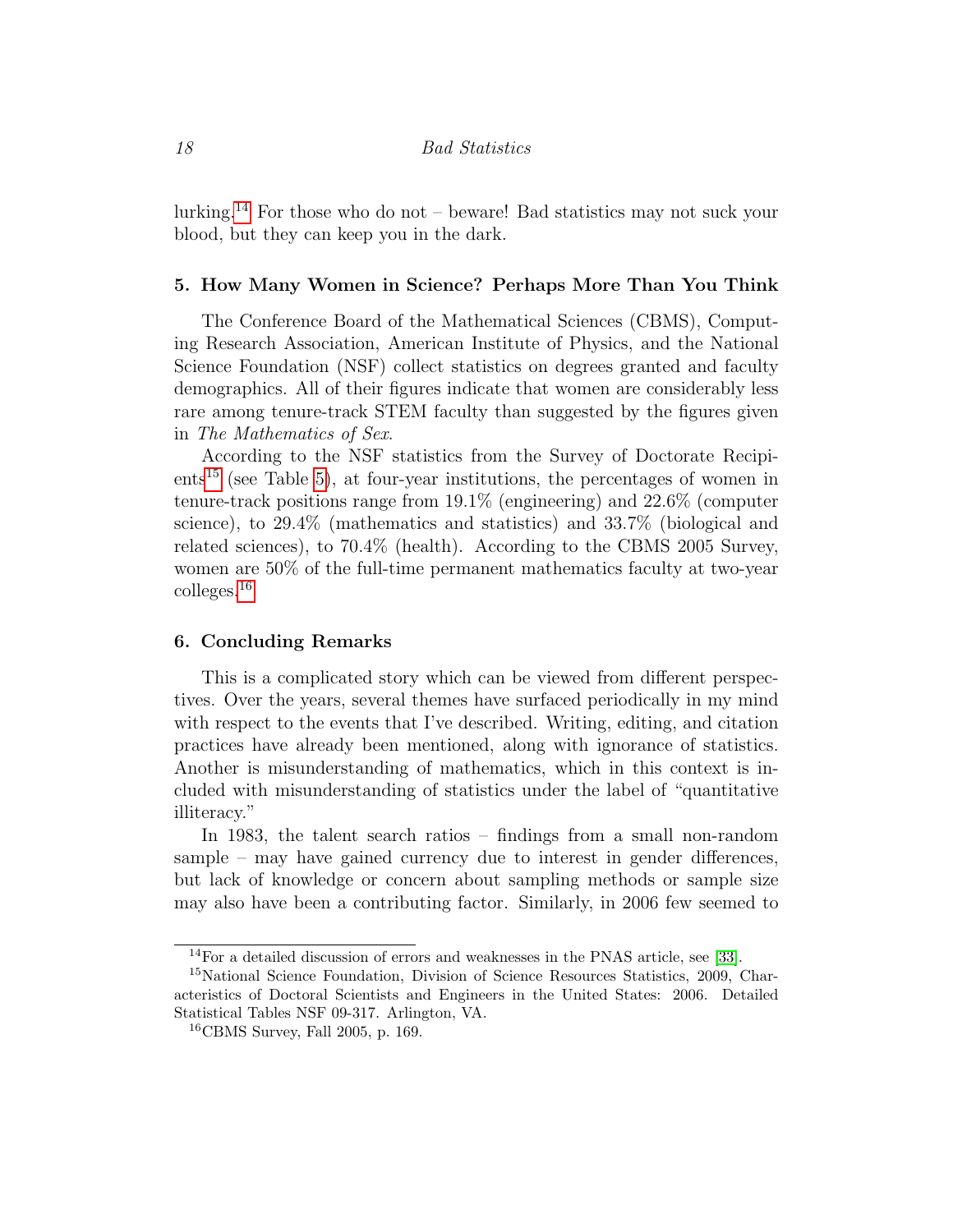lurking.<sup>[14](#page-17-0)</sup> For those who do not – beware! Bad statistics may not suck your blood, but they can keep you in the dark.

#### 5. How Many Women in Science? Perhaps More Than You Think

The Conference Board of the Mathematical Sciences (CBMS), Computing Research Association, American Institute of Physics, and the National Science Foundation (NSF) collect statistics on degrees granted and faculty demographics. All of their figures indicate that women are considerably less rare among tenure-track STEM faculty than suggested by the figures given in The Mathematics of Sex.

According to the NSF statistics from the Survey of Doctorate Recipi- $ents<sup>15</sup>$  $ents<sup>15</sup>$  $ents<sup>15</sup>$  (see Table [5\)](#page-18-0), at four-year institutions, the percentages of women in tenure-track positions range from 19.1% (engineering) and 22.6% (computer science), to 29.4% (mathematics and statistics) and 33.7% (biological and related sciences), to 70.4% (health). According to the CBMS 2005 Survey, women are 50% of the full-time permanent mathematics faculty at two-year colleges.[16](#page-17-2)

#### 6. Concluding Remarks

This is a complicated story which can be viewed from different perspectives. Over the years, several themes have surfaced periodically in my mind with respect to the events that I've described. Writing, editing, and citation practices have already been mentioned, along with ignorance of statistics. Another is misunderstanding of mathematics, which in this context is included with misunderstanding of statistics under the label of "quantitative illiteracy."

In 1983, the talent search ratios – findings from a small non-random sample – may have gained currency due to interest in gender differences, but lack of knowledge or concern about sampling methods or sample size may also have been a contributing factor. Similarly, in 2006 few seemed to

<span id="page-17-1"></span><span id="page-17-0"></span><sup>14</sup>For a detailed discussion of errors and weaknesses in the PNAS article, see [\[33\]](#page-23-7).

<sup>&</sup>lt;sup>15</sup>National Science Foundation, Division of Science Resources Statistics, 2009, Characteristics of Doctoral Scientists and Engineers in the United States: 2006. Detailed Statistical Tables NSF 09-317. Arlington, VA.

<span id="page-17-2"></span><sup>16</sup>CBMS Survey, Fall 2005, p. 169.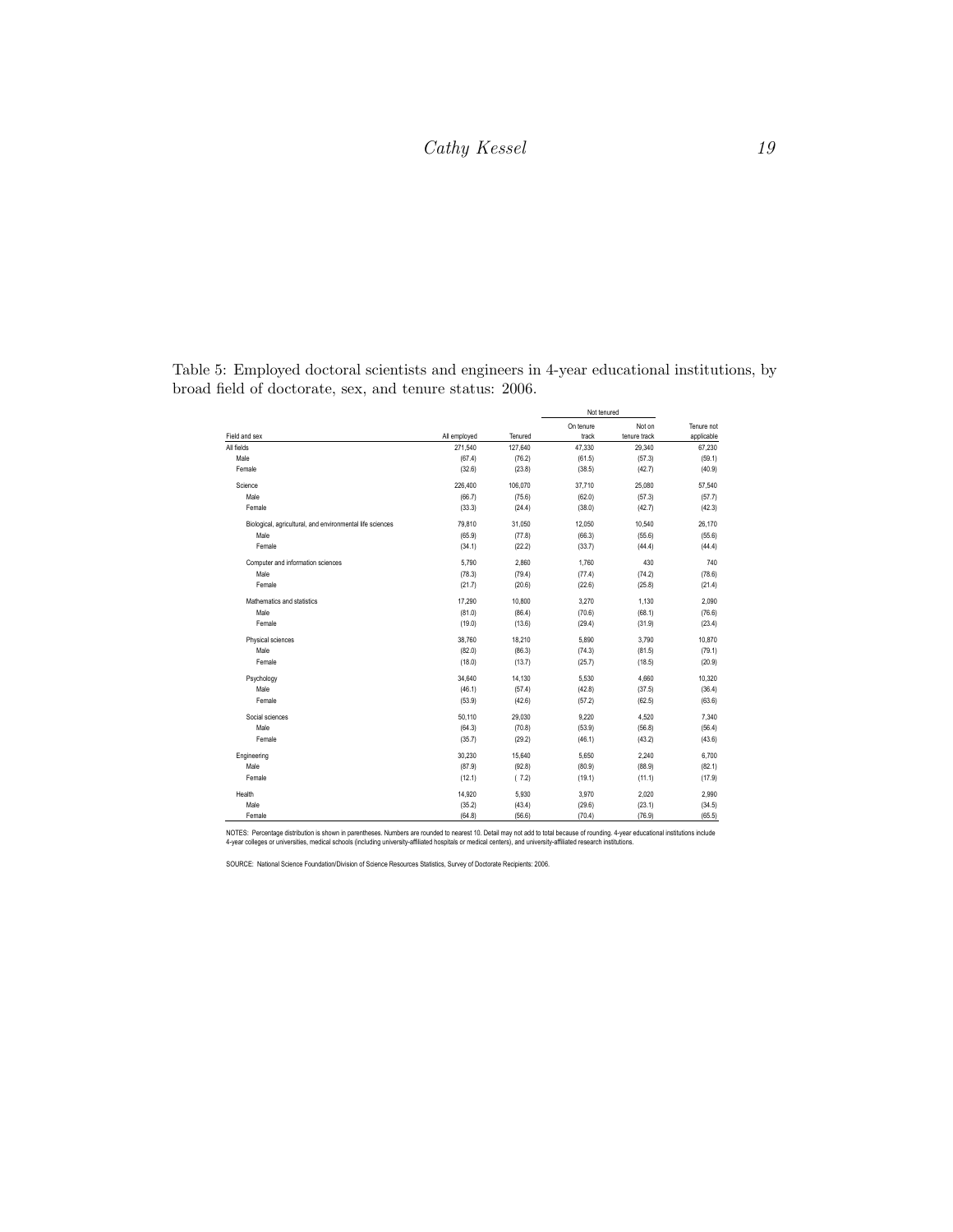<span id="page-18-0"></span>

|                                                           |              |         |                    | Not tenured            |                          |  |
|-----------------------------------------------------------|--------------|---------|--------------------|------------------------|--------------------------|--|
| Field and sex                                             | All employed | Tenured | On tenure<br>track | Not on<br>tenure track | Tenure not<br>applicable |  |
| All fields                                                | 271.540      | 127,640 | 47.330             | 29.340                 | 67.230                   |  |
| Male                                                      | (67.4)       | (76.2)  | (61.5)             | (57.3)                 | (59.1)                   |  |
| Female                                                    | (32.6)       | (23.8)  | (38.5)             | (42.7)                 | (40.9)                   |  |
| Science                                                   | 226,400      | 106,070 | 37,710             | 25,080                 | 57,540                   |  |
| Male                                                      | (66.7)       | (75.6)  | (62.0)             | (57.3)                 | (57.7)                   |  |
| Female                                                    | (33.3)       | (24.4)  | (38.0)             | (42.7)                 | (42.3)                   |  |
| Biological, agricultural, and environmental life sciences | 79,810       | 31,050  | 12.050             | 10,540                 | 26.170                   |  |
| Male                                                      | (65.9)       | (77.8)  | (66.3)             | (55.6)                 | (55.6)                   |  |
| Female                                                    | (34.1)       | (22.2)  | (33.7)             | (44.4)                 | (44.4)                   |  |
| Computer and information sciences                         | 5,790        | 2,860   | 1,760              | 430                    | 740                      |  |
| Male                                                      | (78.3)       | (79.4)  | (77.4)             | (74.2)                 | (78.6)                   |  |
| Female                                                    | (21.7)       | (20.6)  | (22.6)             | (25.8)                 | (21.4)                   |  |
| Mathematics and statistics                                | 17,290       | 10,800  | 3.270              | 1,130                  | 2,090                    |  |
| Male                                                      | (81.0)       | (86.4)  | (70.6)             | (68.1)                 | (76.6)                   |  |
| Female                                                    | (19.0)       | (13.6)  | (29.4)             | (31.9)                 | (23.4)                   |  |
| Physical sciences                                         | 38,760       | 18,210  | 5.890              | 3,790                  | 10,870                   |  |
| Male                                                      | (82.0)       | (86.3)  | (74.3)             | (81.5)                 | (79.1)                   |  |
| Female                                                    | (18.0)       | (13.7)  | (25.7)             | (18.5)                 | (20.9)                   |  |
| Psychology                                                | 34,640       | 14,130  | 5,530              | 4,660                  | 10,320                   |  |
| Male                                                      | (46.1)       | (57.4)  | (42.8)             | (37.5)                 | (36.4)                   |  |
| Female                                                    | (53.9)       | (42.6)  | (57.2)             | (62.5)                 | (63.6)                   |  |
| Social sciences                                           | 50,110       | 29,030  | 9.220              | 4,520                  | 7,340                    |  |
| Male                                                      | (64.3)       | (70.8)  | (53.9)             | (56.8)                 | (56.4)                   |  |
| Female                                                    | (35.7)       | (29.2)  | (46.1)             | (43.2)                 | (43.6)                   |  |
| Engineering                                               | 30,230       | 15,640  | 5,650              | 2,240                  | 6,700                    |  |
| Male                                                      | (87.9)       | (92.8)  | (80.9)             | (88.9)                 | (82.1)                   |  |
| Female                                                    | (12.1)       | (7.2)   | (19.1)             | (11.1)                 | (17.9)                   |  |
| Health                                                    | 14,920       | 5,930   | 3,970              | 2,020                  | 2,990                    |  |
| Male                                                      | (35.2)       | (43.4)  | (29.6)             | (23.1)                 | (34.5)                   |  |
| Female                                                    | (64.8)       | (56.6)  | (70.4)             | (76.9)                 | (65.5)                   |  |

Table 5: Employed doctoral scientists and engineers in 4-year educational institutions, by broad field of doctorate, sex, and tenure status: 2006.

NOTES: Percentage distribution is shown in parentheses. Numbers are rounded to nearest 10. Detail may not add to total because of rounding. 4-year educational institutions include<br>4-year colleges or universities, medical

SOURCE: National Science Foundation/Division of Science Resources Statistics, Survey of Doctorate Recipients: 2006.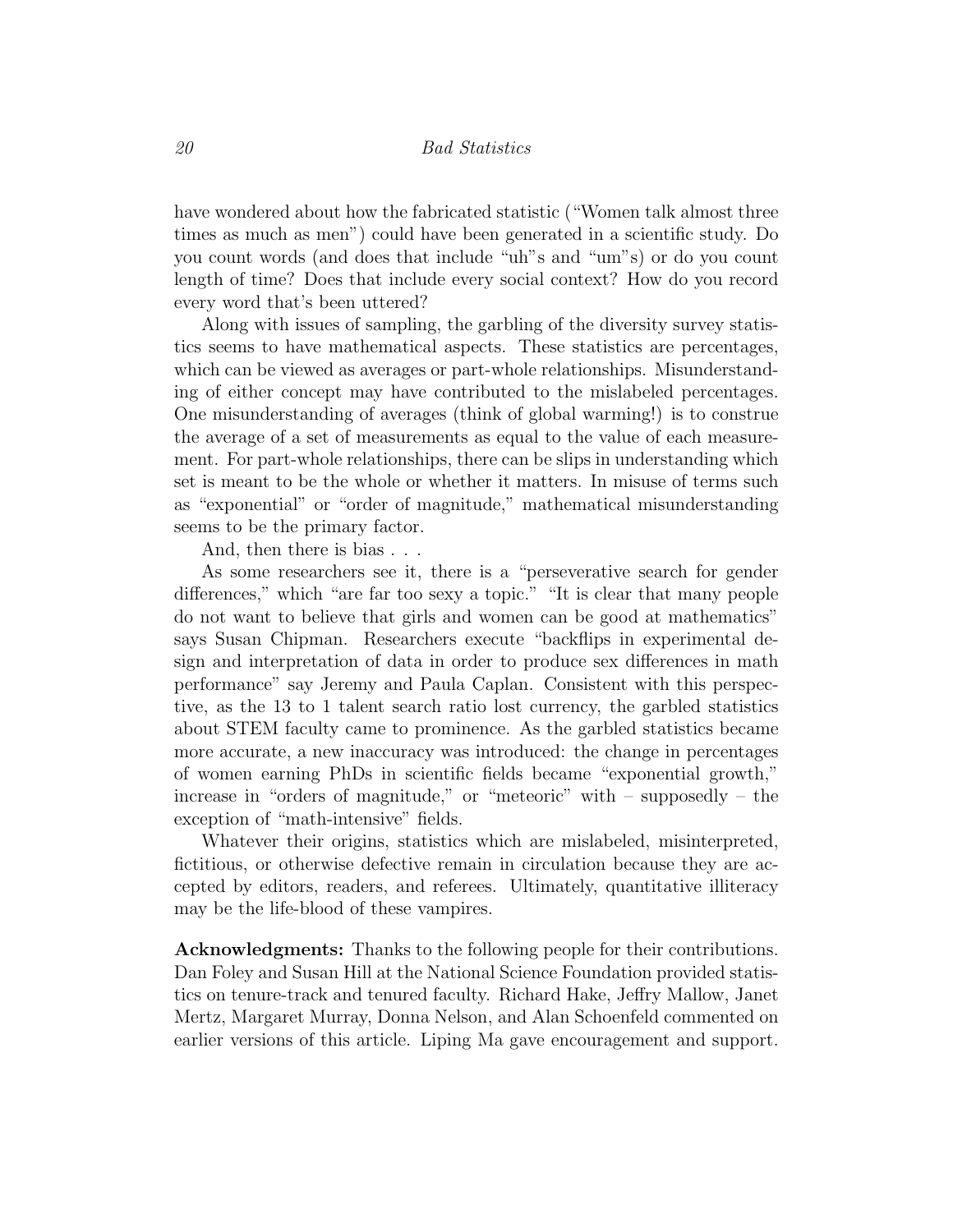have wondered about how the fabricated statistic ("Women talk almost three times as much as men") could have been generated in a scientific study. Do you count words (and does that include "uh"s and "um"s) or do you count length of time? Does that include every social context? How do you record every word that's been uttered?

Along with issues of sampling, the garbling of the diversity survey statistics seems to have mathematical aspects. These statistics are percentages, which can be viewed as averages or part-whole relationships. Misunderstanding of either concept may have contributed to the mislabeled percentages. One misunderstanding of averages (think of global warming!) is to construe the average of a set of measurements as equal to the value of each measurement. For part-whole relationships, there can be slips in understanding which set is meant to be the whole or whether it matters. In misuse of terms such as "exponential" or "order of magnitude," mathematical misunderstanding seems to be the primary factor.

And, then there is bias . . .

As some researchers see it, there is a "perseverative search for gender differences," which "are far too sexy a topic." "It is clear that many people do not want to believe that girls and women can be good at mathematics" says Susan Chipman. Researchers execute "backflips in experimental design and interpretation of data in order to produce sex differences in math performance" say Jeremy and Paula Caplan. Consistent with this perspective, as the 13 to 1 talent search ratio lost currency, the garbled statistics about STEM faculty came to prominence. As the garbled statistics became more accurate, a new inaccuracy was introduced: the change in percentages of women earning PhDs in scientific fields became "exponential growth," increase in "orders of magnitude," or "meteoric" with – supposedly – the exception of "math-intensive" fields.

Whatever their origins, statistics which are mislabeled, misinterpreted, fictitious, or otherwise defective remain in circulation because they are accepted by editors, readers, and referees. Ultimately, quantitative illiteracy may be the life-blood of these vampires.

Acknowledgments: Thanks to the following people for their contributions. Dan Foley and Susan Hill at the National Science Foundation provided statistics on tenure-track and tenured faculty. Richard Hake, Jeffry Mallow, Janet Mertz, Margaret Murray, Donna Nelson, and Alan Schoenfeld commented on earlier versions of this article. Liping Ma gave encouragement and support.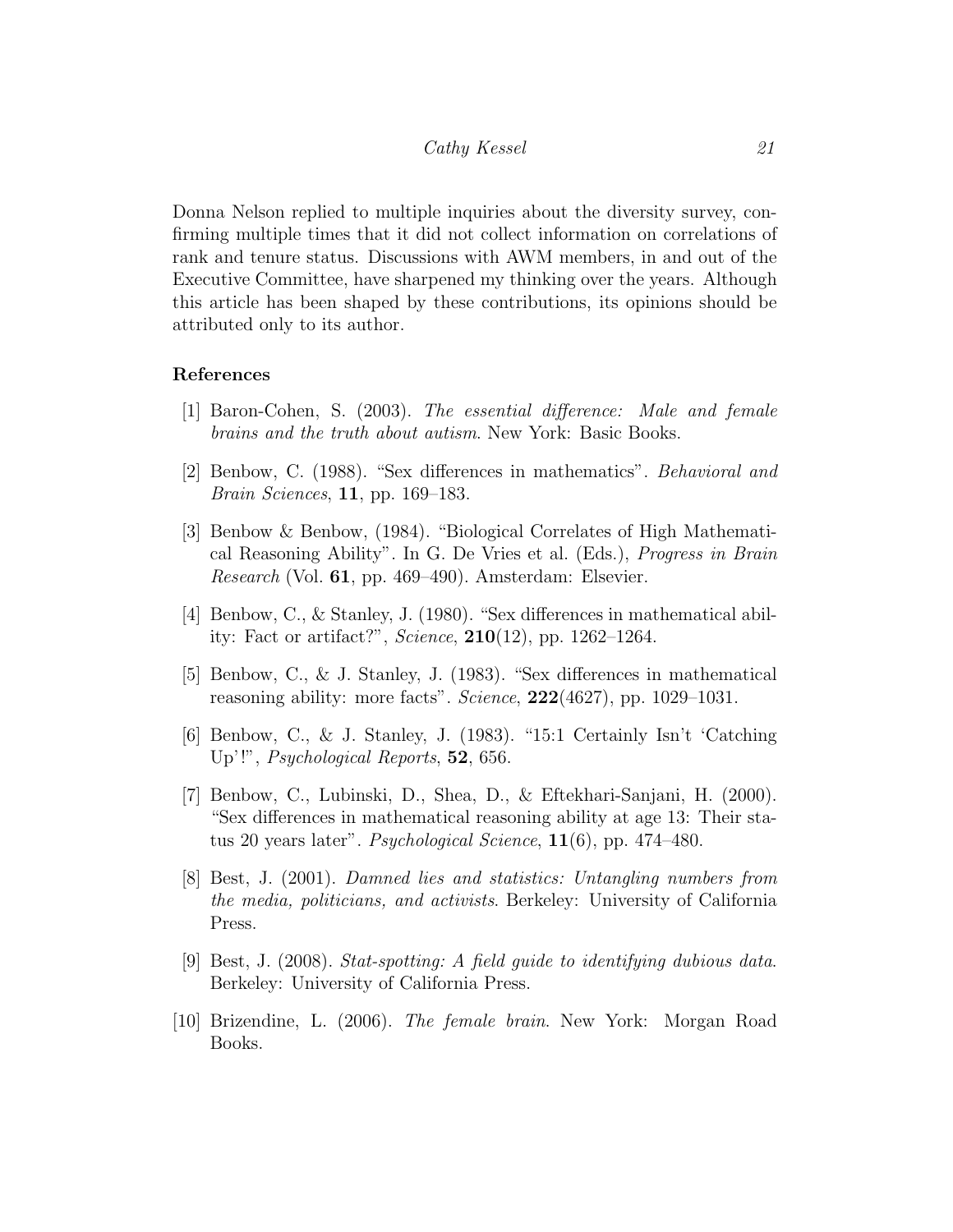Donna Nelson replied to multiple inquiries about the diversity survey, confirming multiple times that it did not collect information on correlations of rank and tenure status. Discussions with AWM members, in and out of the Executive Committee, have sharpened my thinking over the years. Although this article has been shaped by these contributions, its opinions should be attributed only to its author.

#### References

- <span id="page-20-5"></span>[1] Baron-Cohen, S. (2003). The essential difference: Male and female brains and the truth about autism. New York: Basic Books.
- <span id="page-20-3"></span>[2] Benbow, C. (1988). "Sex differences in mathematics". Behavioral and Brain Sciences, 11, pp. 169–183.
- <span id="page-20-6"></span>[3] Benbow & Benbow, (1984). "Biological Correlates of High Mathematical Reasoning Ability". In G. De Vries et al. (Eds.), Progress in Brain Research (Vol. 61, pp. 469–490). Amsterdam: Elsevier.
- <span id="page-20-1"></span>[4] Benbow, C., & Stanley, J. (1980). "Sex differences in mathematical ability: Fact or artifact?", Science, 210(12), pp. 1262–1264.
- <span id="page-20-2"></span>[5] Benbow, C., & J. Stanley, J. (1983). "Sex differences in mathematical reasoning ability: more facts". Science, 222(4627), pp. 1029–1031.
- <span id="page-20-7"></span>[6] Benbow, C., & J. Stanley, J. (1983). "15:1 Certainly Isn't 'Catching Up'!", Psychological Reports, 52, 656.
- <span id="page-20-4"></span>[7] Benbow, C., Lubinski, D., Shea, D., & Eftekhari-Sanjani, H. (2000). "Sex differences in mathematical reasoning ability at age 13: Their status 20 years later". Psychological Science, 11(6), pp. 474–480.
- <span id="page-20-9"></span>[8] Best, J. (2001). Damned lies and statistics: Untangling numbers from the media, politicians, and activists. Berkeley: University of California Press.
- <span id="page-20-0"></span>[9] Best, J. (2008). Stat-spotting: A field guide to identifying dubious data. Berkeley: University of California Press.
- <span id="page-20-8"></span>[10] Brizendine, L. (2006). The female brain. New York: Morgan Road Books.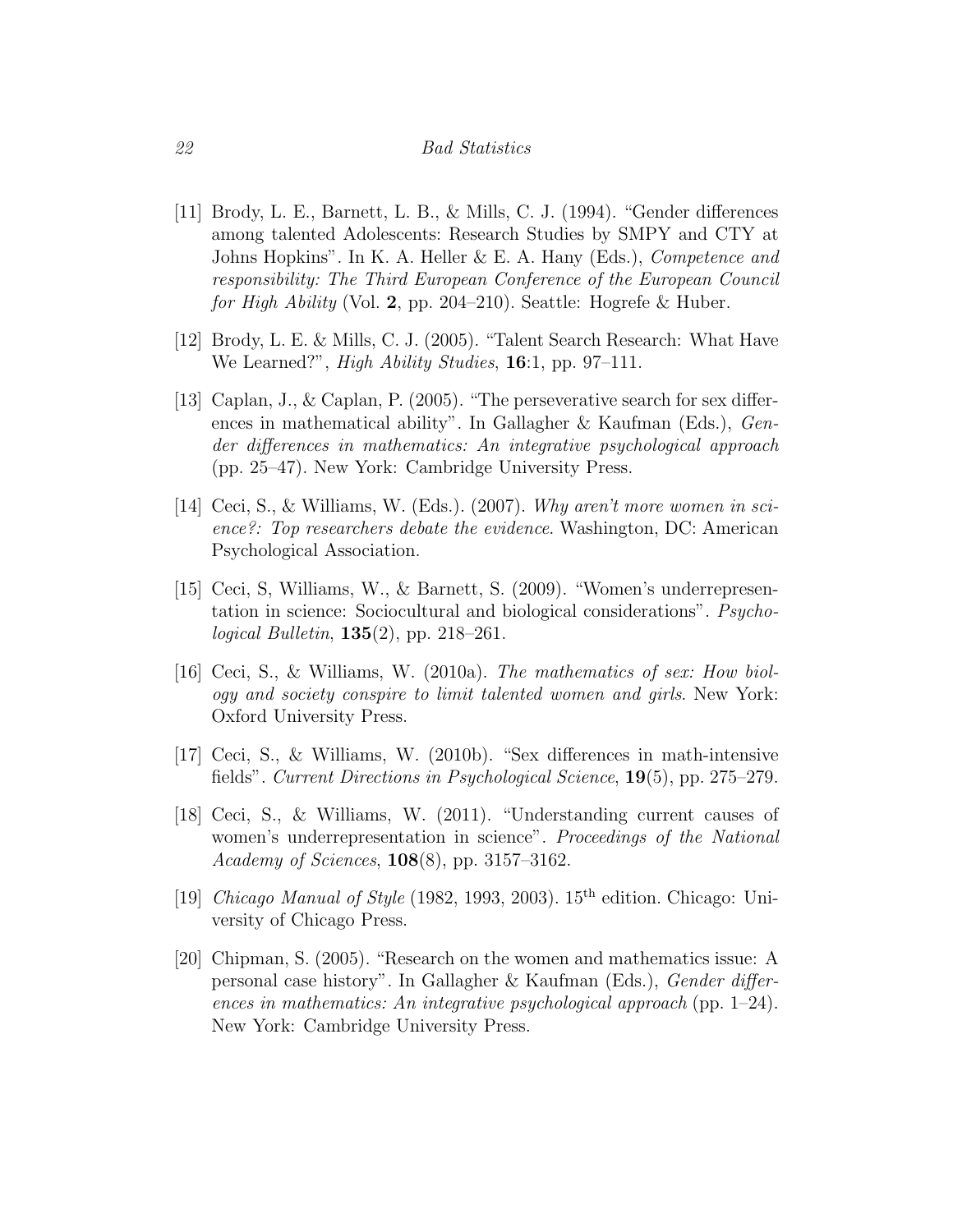- <span id="page-21-1"></span>[11] Brody, L. E., Barnett, L. B., & Mills, C. J. (1994). "Gender differences among talented Adolescents: Research Studies by SMPY and CTY at Johns Hopkins". In K. A. Heller & E. A. Hany (Eds.), *Competence and* responsibility: The Third European Conference of the European Council for High Ability (Vol. 2, pp. 204–210). Seattle: Hogrefe & Huber.
- <span id="page-21-0"></span>[12] Brody, L. E. & Mills, C. J. (2005). "Talent Search Research: What Have We Learned?", *High Ability Studies*, **16**:1, pp. 97–111.
- [13] Caplan, J., & Caplan, P. (2005). "The perseverative search for sex differences in mathematical ability". In Gallagher & Kaufman (Eds.), Gender differences in mathematics: An integrative psychological approach (pp. 25–47). New York: Cambridge University Press.
- <span id="page-21-2"></span>[14] Ceci, S., & Williams, W. (Eds.). (2007). Why aren't more women in science?: Top researchers debate the evidence. Washington, DC: American Psychological Association.
- <span id="page-21-4"></span>[15] Ceci, S, Williams, W., & Barnett, S. (2009). "Women's underrepresentation in science: Sociocultural and biological considerations". Psycho*logical Bulletin*,  $135(2)$ , pp. 218–261.
- <span id="page-21-3"></span>[16] Ceci, S., & Williams, W. (2010a). The mathematics of sex: How biology and society conspire to limit talented women and girls. New York: Oxford University Press.
- <span id="page-21-5"></span>[17] Ceci, S., & Williams, W. (2010b). "Sex differences in math-intensive fields". Current Directions in Psychological Science, 19(5), pp. 275–279.
- <span id="page-21-6"></span>[18] Ceci, S., & Williams, W. (2011). "Understanding current causes of women's underrepresentation in science". Proceedings of the National Academy of Sciences, 108(8), pp. 3157–3162.
- <span id="page-21-7"></span>[19] Chicago Manual of Style (1982, 1993, 2003).  $15<sup>th</sup>$  edition. Chicago: University of Chicago Press.
- [20] Chipman, S. (2005). "Research on the women and mathematics issue: A personal case history". In Gallagher & Kaufman (Eds.), Gender differences in mathematics: An integrative psychological approach (pp. 1–24). New York: Cambridge University Press.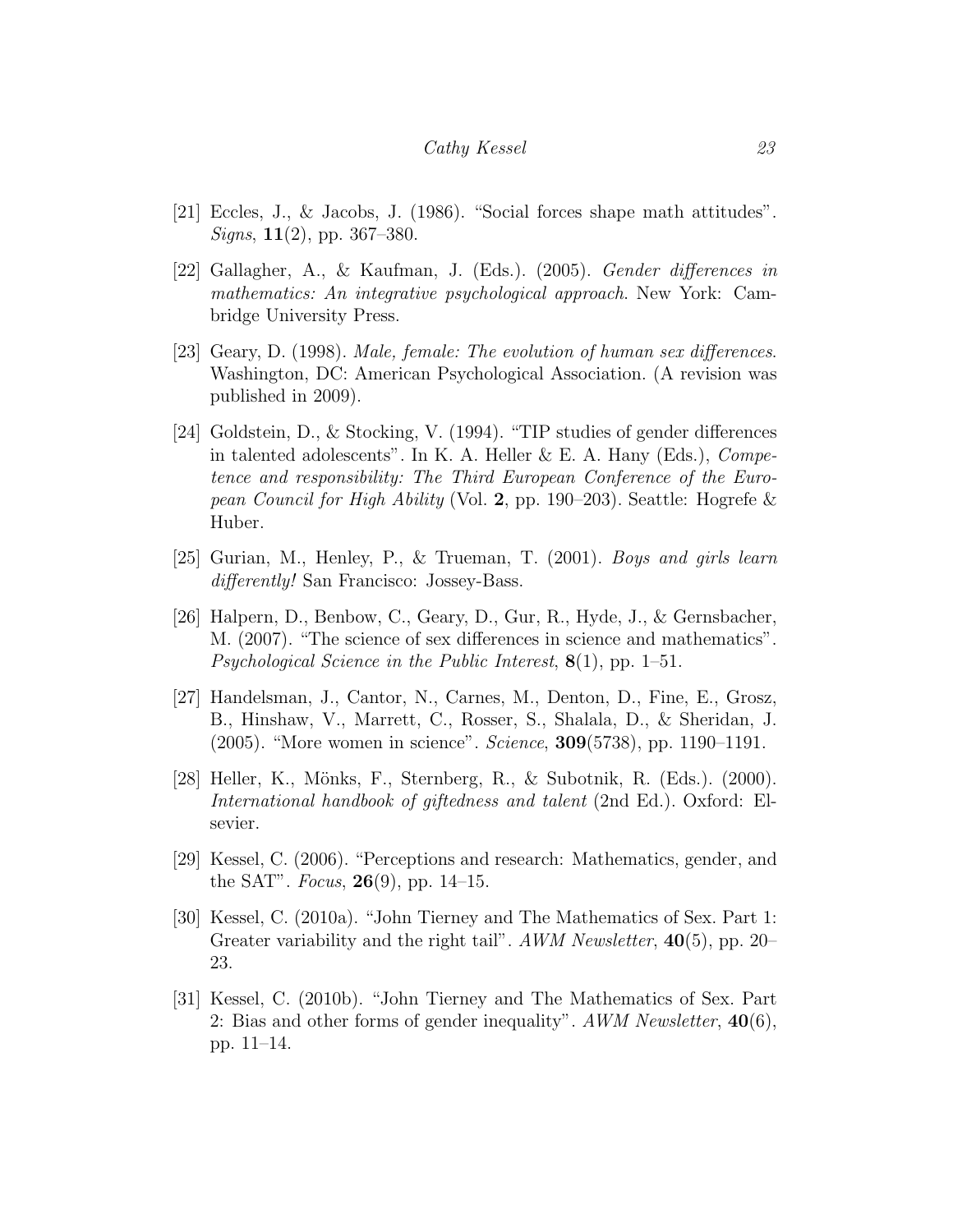- [21] Eccles, J., & Jacobs, J. (1986). "Social forces shape math attitudes".  $Signs, 11(2), pp. 367-380.$
- <span id="page-22-2"></span>[22] Gallagher, A., & Kaufman, J. (Eds.). (2005). Gender differences in mathematics: An integrative psychological approach. New York: Cambridge University Press.
- <span id="page-22-0"></span>[23] Geary, D. (1998). Male, female: The evolution of human sex differences. Washington, DC: American Psychological Association. (A revision was published in 2009).
- <span id="page-22-5"></span>[24] Goldstein, D., & Stocking, V. (1994). "TIP studies of gender differences in talented adolescents". In K. A. Heller  $\&$  E. A. Hany (Eds.), *Compe*tence and responsibility: The Third European Conference of the European Council for High Ability (Vol. 2, pp. 190–203). Seattle: Hogrefe & Huber.
- <span id="page-22-3"></span>[25] Gurian, M., Henley, P., & Trueman, T. (2001). Boys and girls learn differently! San Francisco: Jossey-Bass.
- <span id="page-22-6"></span>[26] Halpern, D., Benbow, C., Geary, D., Gur, R., Hyde, J., & Gernsbacher, M. (2007). "The science of sex differences in science and mathematics". *Psychological Science in the Public Interest*,  $8(1)$ , pp. 1–51.
- <span id="page-22-8"></span>[27] Handelsman, J., Cantor, N., Carnes, M., Denton, D., Fine, E., Grosz, B., Hinshaw, V., Marrett, C., Rosser, S., Shalala, D., & Sheridan, J. (2005). "More women in science". Science, 309(5738), pp. 1190–1191.
- <span id="page-22-1"></span>[28] Heller, K., Mönks, F., Sternberg, R., & Subotnik, R. (Eds.). (2000). International handbook of giftedness and talent (2nd Ed.). Oxford: Elsevier.
- <span id="page-22-4"></span>[29] Kessel, C. (2006). "Perceptions and research: Mathematics, gender, and the SAT". *Focus*, **26**(9), pp. 14–15.
- <span id="page-22-7"></span>[30] Kessel, C. (2010a). "John Tierney and The Mathematics of Sex. Part 1: Greater variability and the right tail". AWM Newsletter, 40(5), pp. 20– 23.
- <span id="page-22-9"></span>[31] Kessel, C. (2010b). "John Tierney and The Mathematics of Sex. Part 2: Bias and other forms of gender inequality". AWM Newsletter,  $40(6)$ , pp. 11–14.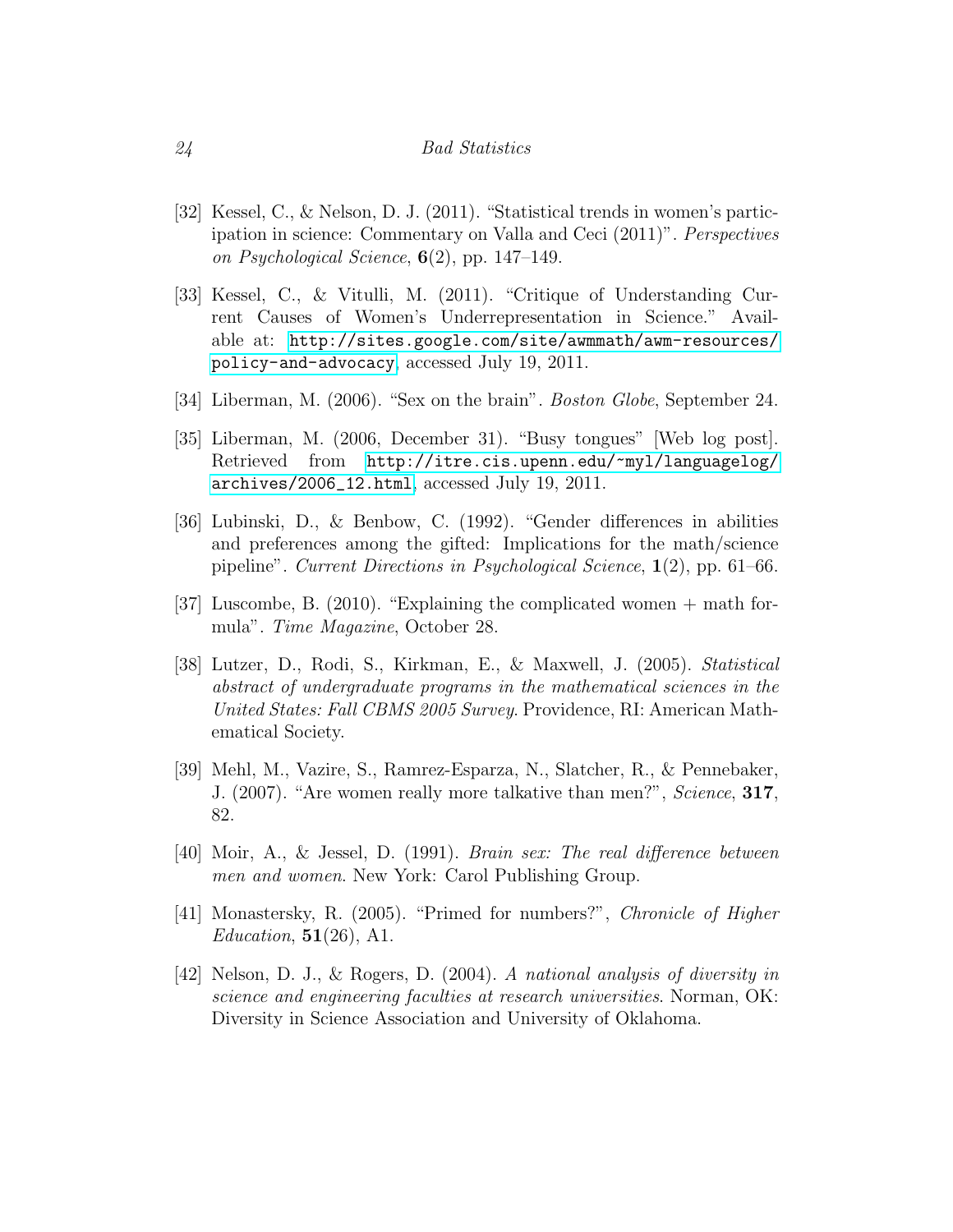- <span id="page-23-6"></span>[32] Kessel, C., & Nelson, D. J. (2011). "Statistical trends in women's participation in science: Commentary on Valla and Ceci (2011)". Perspectives on Psychological Science,  $6(2)$ , pp. 147–149.
- <span id="page-23-7"></span>[33] Kessel, C., & Vitulli, M. (2011). "Critique of Understanding Current Causes of Women's Underrepresentation in Science." Available at: [http://sites.google.com/site/awmmath/awm-resources/](http://sites.google.com/site/awmmath/awm-resources/policy-and-advocacy) [policy-and-advocacy](http://sites.google.com/site/awmmath/awm-resources/policy-and-advocacy), accessed July 19, 2011.
- <span id="page-23-4"></span>[34] Liberman, M. (2006). "Sex on the brain". Boston Globe, September 24.
- <span id="page-23-3"></span>[35] Liberman, M. (2006, December 31). "Busy tongues" [Web log post]. Retrieved from [http://itre.cis.upenn.edu/~myl/languagelog/](http://itre.cis.upenn.edu/~myl/languagelog/archives/2006_12.html) [archives/2006\\_12.html](http://itre.cis.upenn.edu/~myl/languagelog/archives/2006_12.html), accessed July 19, 2011.
- <span id="page-23-0"></span>[36] Lubinski, D., & Benbow, C. (1992). "Gender differences in abilities and preferences among the gifted: Implications for the math/science pipeline". Current Directions in Psychological Science, 1(2), pp. 61–66.
- [37] Luscombe, B. (2010). "Explaining the complicated women + math formula". Time Magazine, October 28.
- [38] Lutzer, D., Rodi, S., Kirkman, E., & Maxwell, J. (2005). Statistical abstract of undergraduate programs in the mathematical sciences in the United States: Fall CBMS 2005 Survey. Providence, RI: American Mathematical Society.
- <span id="page-23-5"></span>[39] Mehl, M., Vazire, S., Ramrez-Esparza, N., Slatcher, R., & Pennebaker, J. (2007). "Are women really more talkative than men?", Science, 317, 82.
- <span id="page-23-1"></span>[40] Moir, A., & Jessel, D. (1991). Brain sex: The real difference between men and women. New York: Carol Publishing Group.
- <span id="page-23-2"></span>[41] Monastersky, R. (2005). "Primed for numbers?", Chronicle of Higher Education,  $51(26)$ , A1.
- [42] Nelson, D. J., & Rogers, D. (2004). A national analysis of diversity in science and engineering faculties at research universities. Norman, OK: Diversity in Science Association and University of Oklahoma.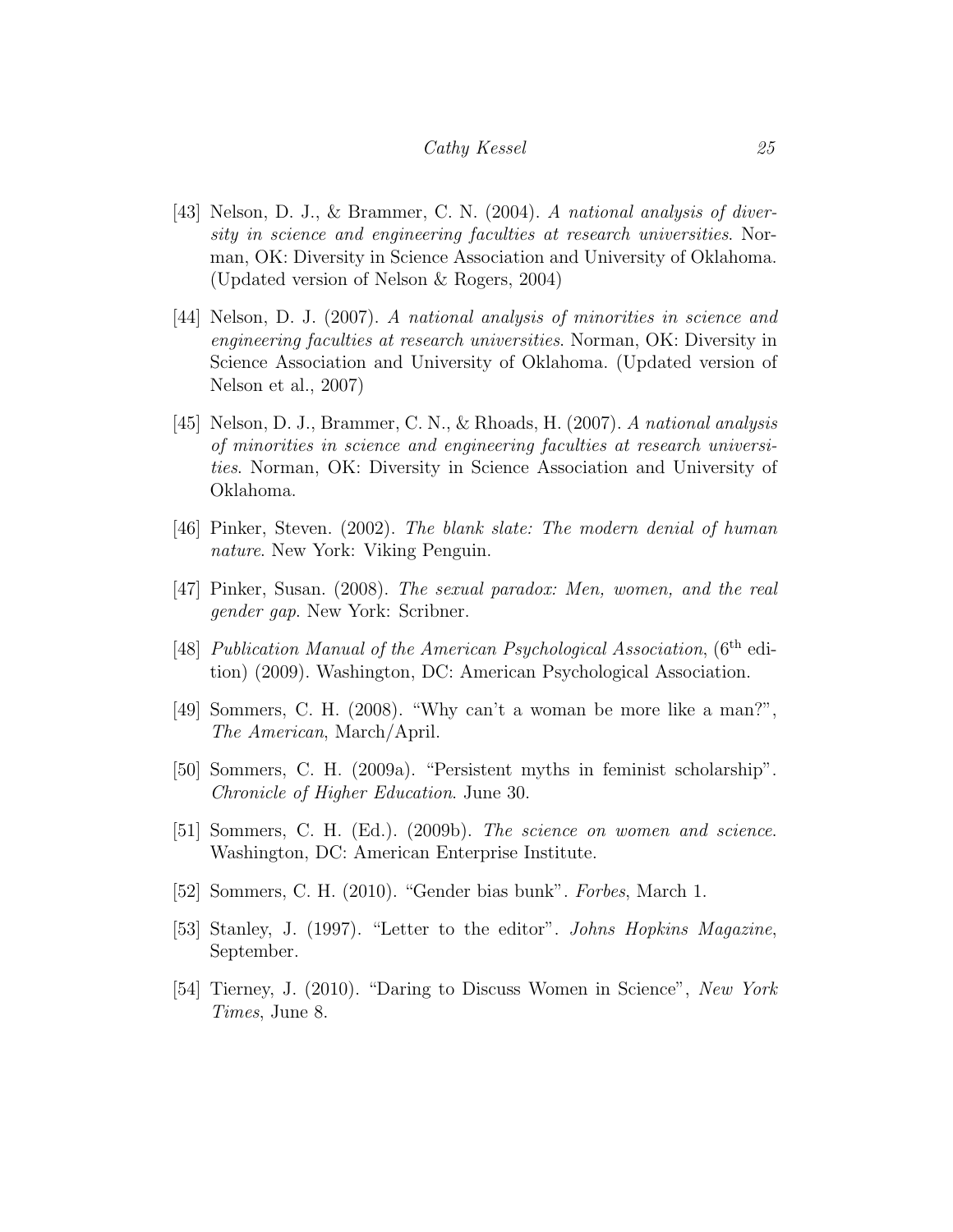- [43] Nelson, D. J., & Brammer, C. N. (2004). A national analysis of diversity in science and engineering faculties at research universities. Norman, OK: Diversity in Science Association and University of Oklahoma. (Updated version of Nelson & Rogers, 2004)
- [44] Nelson, D. J. (2007). A national analysis of minorities in science and engineering faculties at research universities. Norman, OK: Diversity in Science Association and University of Oklahoma. (Updated version of Nelson et al., 2007)
- [45] Nelson, D. J., Brammer, C. N., & Rhoads, H. (2007). A national analysis of minorities in science and engineering faculties at research universities. Norman, OK: Diversity in Science Association and University of Oklahoma.
- <span id="page-24-1"></span>[46] Pinker, Steven. (2002). The blank slate: The modern denial of human nature. New York: Viking Penguin.
- <span id="page-24-3"></span>[47] Pinker, Susan. (2008). The sexual paradox: Men, women, and the real gender gap. New York: Scribner.
- <span id="page-24-8"></span>[48] Publication Manual of the American Psychological Association, (6<sup>th</sup> edition) (2009). Washington, DC: American Psychological Association.
- <span id="page-24-7"></span>[49] Sommers, C. H. (2008). "Why can't a woman be more like a man?", The American, March/April.
- <span id="page-24-0"></span>[50] Sommers, C. H. (2009a). "Persistent myths in feminist scholarship". Chronicle of Higher Education. June 30.
- <span id="page-24-4"></span>[51] Sommers, C. H. (Ed.). (2009b). The science on women and science. Washington, DC: American Enterprise Institute.
- <span id="page-24-5"></span>[52] Sommers, C. H. (2010). "Gender bias bunk". Forbes, March 1.
- <span id="page-24-2"></span>[53] Stanley, J. (1997). "Letter to the editor". Johns Hopkins Magazine, September.
- <span id="page-24-6"></span>[54] Tierney, J. (2010). "Daring to Discuss Women in Science", New York Times, June 8.